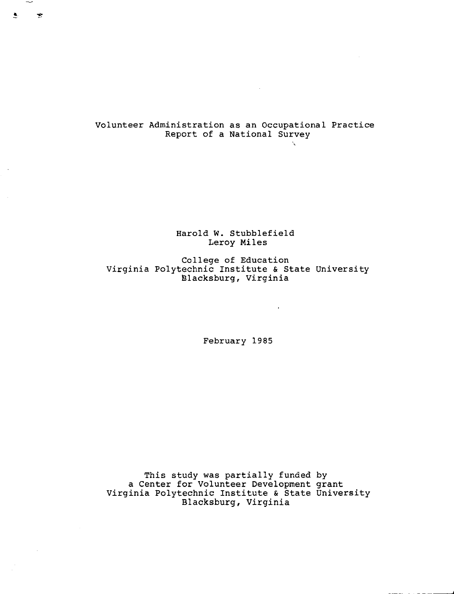Volunteer Administration as an Occupational Practice Report of a National Survey  $\mathcal{L}$ 

 $\mathcal{L}^{\text{max}}_{\text{max}}$  and  $\mathcal{L}^{\text{max}}_{\text{max}}$ 

 $\mathbf{B}$  ,  $\mathbf{B}$ 

 $\sim$ 

Harold W. Stubblefield Leroy Miles

College of Education Virginia Polytechnic Institute & State Universi Blacksburg, Virgin

 $\sim 10^{-11}$ 

February 1985

This study was partially funded by a Center for Volunteer Development gran Virginia Polytechnic Institute & State Universi Blacksburg, Virginia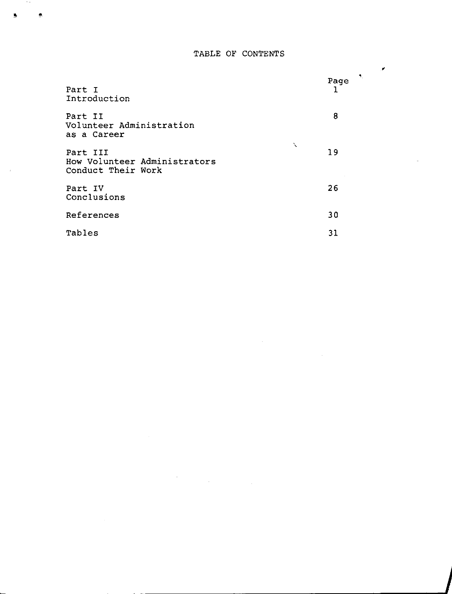## TABLE OF CONTENTS

٠

| Part I<br>Introduction                                              | $\mathcal{A}_1$<br>Page |
|---------------------------------------------------------------------|-------------------------|
| Part II<br>Volunteer Administration<br>as a Career                  | 8                       |
| ╲<br>Part III<br>How Volunteer Administrators<br>Conduct Their Work | 19                      |
| Part IV<br>Conclusions                                              | 26                      |
| References                                                          | 30                      |
| Tables                                                              | 31                      |

 $\label{eq:2.1} \frac{1}{\sqrt{2}}\int_{\mathbb{R}^3}\frac{1}{\sqrt{2}}\left(\frac{1}{\sqrt{2}}\right)^2\frac{1}{\sqrt{2}}\left(\frac{1}{\sqrt{2}}\right)^2\frac{1}{\sqrt{2}}\left(\frac{1}{\sqrt{2}}\right)^2\frac{1}{\sqrt{2}}\left(\frac{1}{\sqrt{2}}\right)^2\frac{1}{\sqrt{2}}\left(\frac{1}{\sqrt{2}}\right)^2\frac{1}{\sqrt{2}}\frac{1}{\sqrt{2}}\frac{1}{\sqrt{2}}\frac{1}{\sqrt{2}}\frac{1}{\sqrt{2}}\frac{1}{\sqrt{2}}$ 

 $\rightarrow$   $\sigma$ 

ğ,

 $\bar{\bar{z}}$ 

 $\bullet$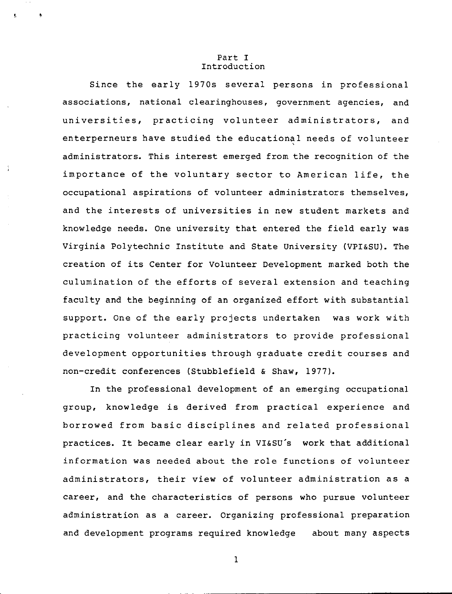#### Part I Introduction

Since the early 1970s several persons in professional associations, national clearinghouses, government agencies, and universities, practicing volunteer administrators, and enterperneurs have studied the educational needs of volunteer administrators. This interest emerged from the recognition of the importance of the voluntary sector to American life, the occupational aspirations of volunteer administrators themselves, and the interests of universities in new student markets and knowledge needs. One university that entered the field early was Virginia Polytechnic Institute and State University (VPI&SU). The creation of its Center for Volunteer Development marked both the culumination of the efforts of several extension and teaching faculty and the beginning of an organized effort with substantial support. One of the early projects undertaken was work with practicing volunteer administrators to provide professional development opportunities through graduate credit courses and non-credit conferences (Stubblefield & Shaw, 1977).

In the professional development of an emerging occupational group, knowledge is derived from practical experience and borrowed from basic disciplines and related professional practices. It became clear early in VI&SU's work that additional information was needed about the role functions of volunteer administrators, their view of volunteer administration as a career, and the characteristics of persons who pursue volunteer administration as a career. Organizing professional preparation and development programs required knowledge about many aspects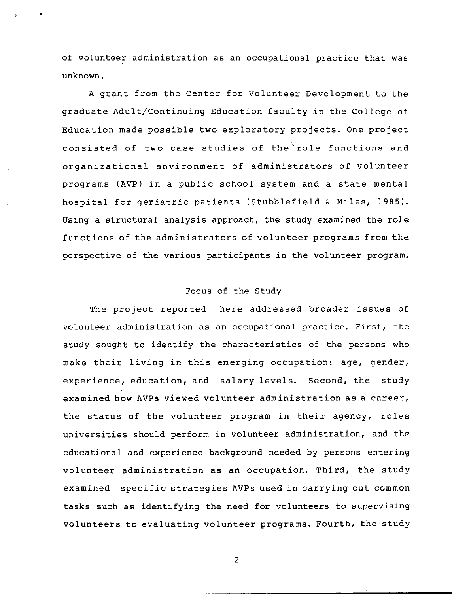of volunteer administration as an occupational practice that was unknown.

A grant from the Center for Volunteer Development to the graduate Adult/Continuing Education faculty in the College of Education made possible two exploratory projects. One project consisted of two case studies of the'role functions and organizational environment of administrators of volunteer programs (AVP) in a public school system and a state mental hospital for geriatric patients (Stubblefield & Miles, 1985). Using a structural analysis approach, the study examined the role functions of the administrators of volunteer programs from the perspective of the various participants in the volunteer program.

### Focus of the Study

The project reported here addressed broader issues of volunteer administration as an occupational practice. First, the study sought to identify the characteristics of the persons who make their living in this emerging occupation: age, gender, experience, education, and salary levels. Second, the study examined how AVPs viewed volunteer administration as a career, the status of the volunteer program in their agency, roles universities should perform in volunteer administration, and the educational and experience background needed by persons entering volunteer administration as an occupation. Third, the study examined specific strategies AVPs used in carrying out common tasks such as identifying the need for volunteers to supervising volunteers to evaluating volunteer programs. Fourth, the study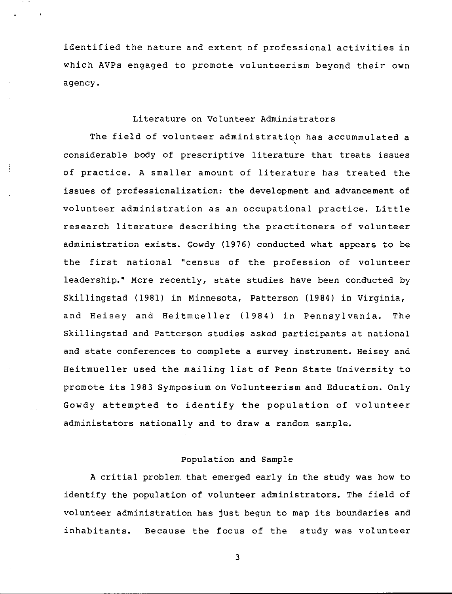identified the nature and extent of professional activities in which AVPs engaged to promote volunteerism beyond their own agency.

### Literature on Volunteer Administrators

The field of volunteer administration has accummulated a considerable body of prescriptive literature that treats issues of practice. A smaller amount of literature has treated the issues of professionalization: the development and advancement of volunteer administration as an occupational practice. Little research literature describing the practitoners of volunteer administration exists. Gowdy (1976) conducted what appears to be the first national "census of the profession of volunteer leadership." More recently, state studies have been conducted by Skillingstad (1981) in Minnesota, Patterson (1984) in Virginia, and Heisey and Heitmueller (1984) in Pennsylvania. The Skillingstad and Patterson studies asked participants at national and state conferences to complete a survey instrument. Heisey and Heitmueller used the mailing list of Penn State University to promote its 1983 Symposium on Volunteerism and Education. Only Gowdy attempted to identify the population of volunteer administators nationally and to draw a random sample.

### Population and Sample

A critial problem that emerged early in the study was how to identify the population of volunteer administrators. The field of volunteer administration has just begun to map its boundaries and inhabitants. Because the focus of the study was volunteer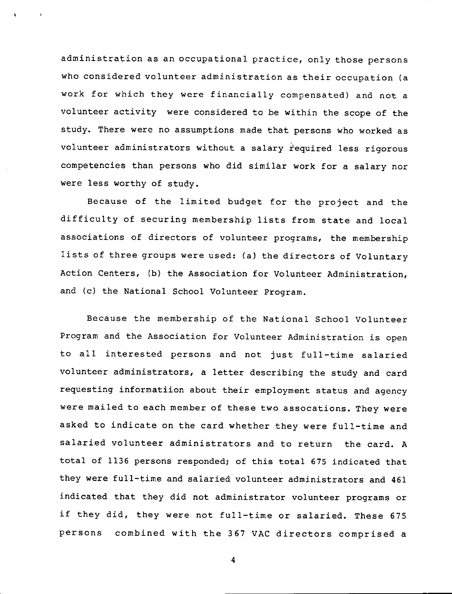administration as an occupational practice, only those persons who considered volunteer administration as their occupation (a work for which they were financially compensated) and not a volunteer activity were considered to be within the scope of the study. There were no assumptions made that persons who worked as volunteer administrators without a salary required less rigorous competencies than persons who did similar work for a salary nor were less worthy of study.

Because of the limited budget for the project and the difficulty of securing membership lists from state and local associations of directors of volunteer programs, the membership lists of three groups were used: (a) the directors of Voluntary Action Centers, (b) the Association for Volunteer Administration, and (c) the National School Volunteer Program.

Because the membership of the National School Volunteer Program and the Association for Volunteer Administration is open to all interested persons and not just full-time salaried volunteer administrators, a letter describing the study and card requesting informatiion about their employment status and agency were mailed to each member of these two assocations. They were asked to indicate on the card whether they were full-time and salaried volunteer administrators and to return the card. A total of 1136 persons responded; of this total 675 indicated that they were full-time and salaried volunteer administrators and 461 indicated that they did not administrator volunteer programs or if they did, they were not full-time or salaried. These 675 persons combined with the 367 VAC directors comprised a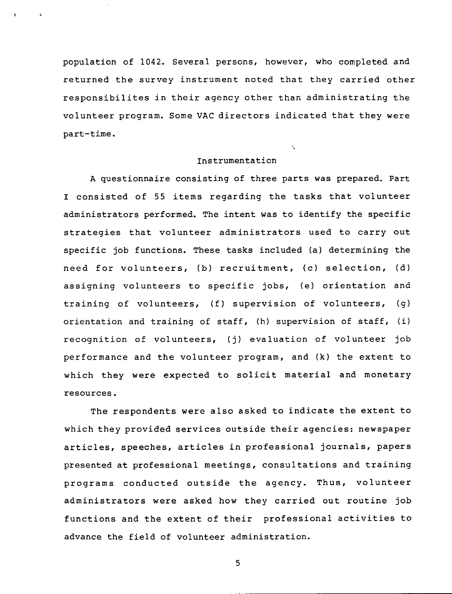population of 1042. Several persons, however, who completed and returned the survey instrument noted that they carried other responsibilites in their agency other than administrating the volunteer program. Some VAC directors indicated that they were part-time.

#### Instrumentation

 $\mathbf{v}$ 

A questionnaire consisting of three parts was prepared. Part I consisted of 55 items regarding the tasks that volunteer administrators performed. The intent was to identify the specific strategies that volunteer administrators used to carry out specific job functions. These tasks included (a) determining the need for volunteers, (b) recruitment, (c) selection, (d) assigning volunteers to specific jobs, (e) orientation and training of volunteers, (f) supervision of volunteers, (g) orientation and training of staff, (h) supervision of staff, (i) recognition of volunteers, (j) evaluation of volunteer job performance and the volunteer program, and (k) the extent to which they were expected to solicit material and monetary resources.

The respondents were also asked to indicate the extent to which they provided services outside their agencies: newspaper articles, speeches, articles in professional journals, papers presented at professional meetings, consultations and training programs conducted outside the agency. Thus, volunteer administrators were asked how they carried out routine job functions and the extent of their professional activities to advance the field of volunteer administration.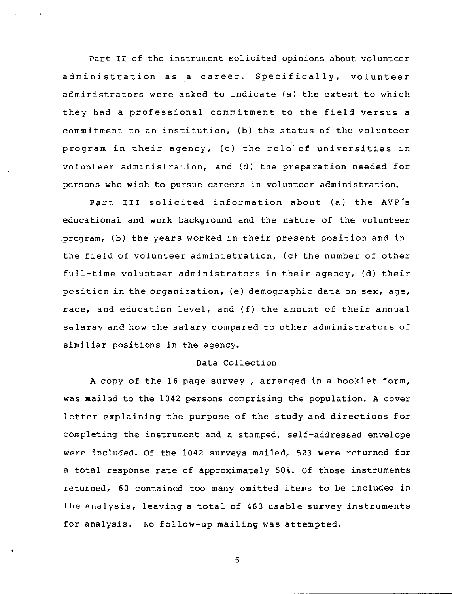Part II of the instrument solicited opinions about volunteer administration as a career. Specifically, volunteer administrators were asked to indicate (a) the extent to which they had a professional commitment to the field versus a commitment to an institution, (b) the status of the volunteer program in their agency, (c) the role'of universities in volunteer administration, and (d) the preparation needed for persons who wish to pursue careers in volunteer administration.

Part III solicited information about (a) the AVP's educational and work background and the nature of the volunteer program, (b) the years worked in their present position and in the field of volunteer administration, (c) the number of other full-time volunteer administrators in their agency, (d) their position in the organization, (e) demographic data on sex, age, race, and education level, and (f) the amount of their annual salaray and how the salary compared to other administrators of similiar positions in the agency.

### Data Collection

**A** copy of the 16 page survey, arranged in a booklet form, was mailed to the 1042 persons comprising the population. A cover letter explaining the purpose of the study and directions for completing the instrument and a stamped, self-addressed envelope were included. Of the 1042 surveys mailed, 523 were returned for a total response rate of approximately 50%. Of those instruments returned, 60 contained too many omitted items to be included in the analysis, leaving a total of 463 usable survey instruments for analysis. No follow-up mailing was attempted.

6

•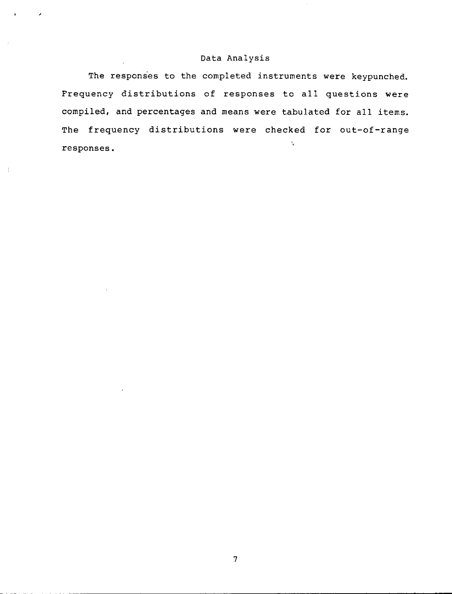### Data Analysis

The responses to the completed instruments were keypunched. Frequency distributions of responses to all questions were compiled, and percentages and means were tabulated for all items. The frequency distributions were checked for out-of-range  $\ddot{\mathbf{v}}$ responses.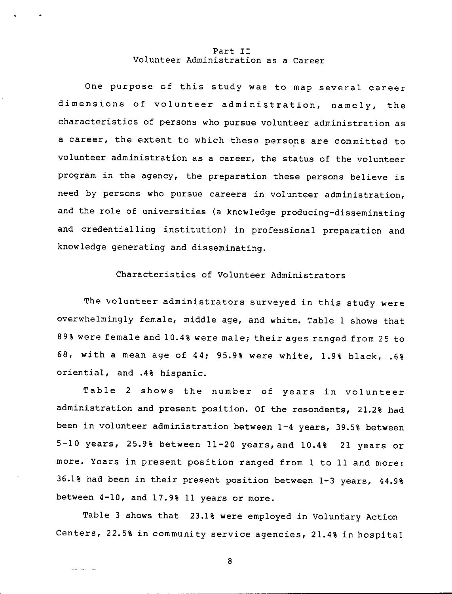#### Part II Volunteer Administration as a Career

One purpose of this study was to map several career dimensions of volunteer administration, namely, the characteristics of persons who pursue volunteer administration as a career, the extent to which these persons are committed to volunteer administration as a career, the status of the volunteer program *in* the agency, the preparation these persons believe *is*  need by persons who pursue careers *in* volunteer administration, and the role of universities (a knowledge producing-disseminating and credentialling institution) *in* professional preparation and knowledge generating and disseminating.

## Characteristics of Volunteer Administrators

The volunteer administrators surveyed *in* this study were overwhelmingly female, middle age, and white. Table 1 shows that 89% were female and 10.4% were male; their ages ranged from 25 to 68, with a mean age of 44; 95.9% were white, 1.9% black, .6% oriential, and .4% hispanic.

Table 2 shows the number of years *in* volunteer administration and present position. Of the resondents, 21.2% had been *in* volunteer administration between 1-4 years, 39.5% between 5-10 years, 25.9% between 11-20 years,and 10.4% 21 years or more. Years *in* present position ranged from 1 to 11 and more: 36.1% had been *in* their present position between 1-3 years, 44.9% between 4-10, and 17.9% 11 years or more.

Table 3 shows that 23.1% were employed *in* Voluntary Action Centers, 22.5% *in* community service agencies, 21.4% *in* hospital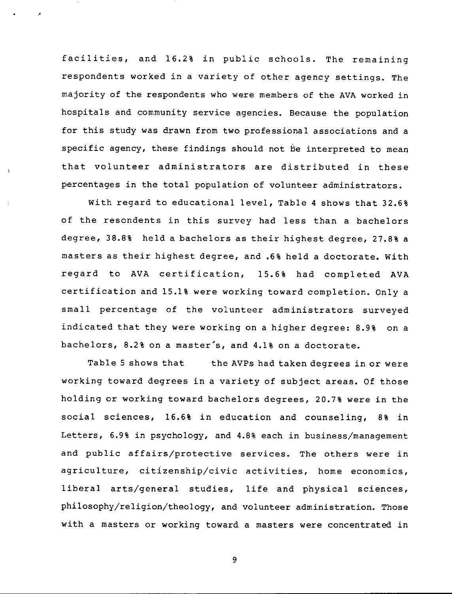facilities, and 16.2% in public schools. The remaining respondents worked in a variety of other agency settings, The majority of the respondents who were members of the AVA worked in hospitals and community service agencies. Because the population for this study was drawn from two professional associations and a specific agency, these findings should not be interpreted to mean that volunteer administrators are distributed in these percentages in the total population of volunteer administrators.

With regard to educational level, Table 4 shows that 32.6% of the resondents in this survey had less than a bachelors degree, 38.8% held a bachelors as their highest degree, 27.8% a masters as their highest degree, and .6% held a doctorate, With regard to AVA certification, 15.6% had completed AVA certification and 15.1% were working toward completion. Only a small percentage of the volunteer administrators surveyed indicated that they were working on a higher degree: 8.9% on a bachelors, 8.2% on a master's, and 4.1% on a doctorate.

Table 5 shows that the AVPs had taken degrees in or were working toward degrees in a variety of subject areas. Of those holding or working toward bachelors degrees, 20.7% were in the social sciences, 16.6% in education and counseling, 8% in Letters, 6.9% in psychology, and 4.8% each in business/management and public affairs/protective services. The others were in agriculture, citizenship/civic activities, home economics, liberal arts/general studies, life and physical sciences, philosophy/religion/theology, and volunteer administration. Those with a masters or working toward a masters were concentrated in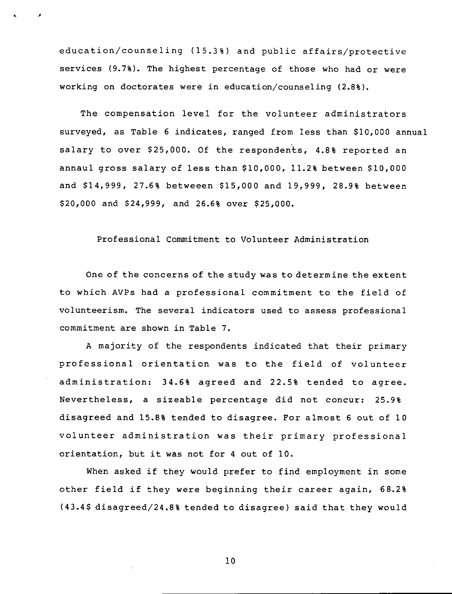education/counseling (15.3%) and public affairs/protective services (9.7%). The highest percentage of those who had or were working on doctorates were in education/counseling {2.8%).

. ,

The compensation level for the volunteer administrators surveyed, as Table 6 indicates, ranged from less than \$10,000 annual salary to over \$25,000. Of the respondents, 4.8% reported an annaul gross salary of less than \$10,000, 11.2% between \$10,000 and \$14,999, 27.6% betweeen \$15,000 and 19,999, 28.9% between \$20,000 and \$24,999, and 26.6% over \$25,000.

### Professional Commitment to Volunteer Administration

One of the concerns of the study was to determine the extent to which AVPs had a professional commitment to the field of volunteerism. The several indicators used to assess professional commitment are shown in Table 7.

A majority of the respondents indicated that their primary professional orientation was to the field of volunteer administration: 34.6% agreed and 22.5% tended to agree. Nevertheless, a sizeable percentage did not concur: 25.9% disagreed and 15.8% tended to disagree. For almost 6 out of 10 volunteer administration was their primary professional orientation, but it was not for 4 out of 10.

When asked if they would prefer to find employment in some other field if they were beginning their career again, 68.2% (43.4\$ disagreed/24.8% tended to disagree) said that they would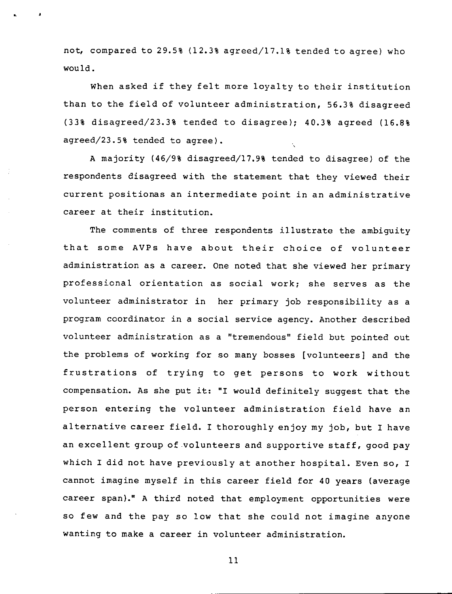not, compared to 29.5% (12.3% agreed/17.1% tended to agree) who would.

When asked if they felt more loyalty to their institution than to the field of volunteer administration, 56.3% disagreed (33% disagreed/23.3% tended to disagree); 40.3% agreed (16.8% agreed/23.5% tended to agree).

A majority (46/9% disagreed/17.9% tended to disagree) of the respondents disagreed with the statement that they viewed their current positionas an intermediate point in an administrative career at their institution.

The comments of three respondents illustrate the ambiguity that some AVPs have about their choice of volunteer administration as a career. One noted that she viewed her primary professional orientation as social work; she serves as the volunteer administrator in her primary job responsibility as a program coordinator in a social service agency. Another described volunteer administration as a "tremendous" field but pointed out the problems of working for so many bosses [volunteers] and the frustrations of trying to get persons to work without compensation. As she put it: "I would definitely suggest that the person entering the volunteer administration field have an alternative career field. I thoroughly enjoy my job, but I have an excellent group of .volunteers and supportive staff, good pay which I did not have previously at another hospital. Even so, I cannot imagine myself in this career field for 40 years (average career span)." A third noted that employment opportunities were so few and the pay so low that she could not imagine anyone wanting to make a career in volunteer administration.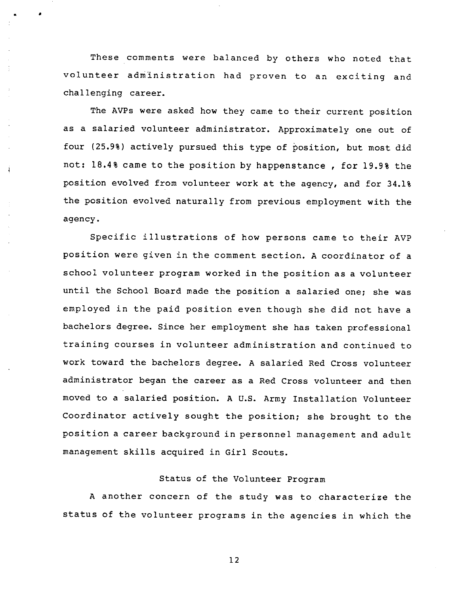These comments were balanced by others who noted that volunteer administration had proven to an exciting and challenging career.

• •

j

The AVPs were asked how they came to their current position as a salaried volunteer administrator. Approximately one out of four (25.9%) actively pursued this type of position, but most did not: 18.4% came to the position by happenstance, for 19.9% the position evolved from volunteer work at the agency, and for 34.1% the position evolved naturally from previous employment with the agency.

Specific illustrations of how persons came to their AVP position were given in the comment section. A coordinator of a school volunteer program worked in the position as a volunteer until the School Board made the position a salaried one; she was employed in the paid position even though she did not have a bachelors degree. Since her employment she has taken professional training courses in volunteer administration and continued to work toward the bachelors degree. A salaried Red Cross volunteer administrator began the career as a Red Cross volunteer and then moved to a salaried position. A U.S. Army Installation Volunteer Coordinator actively sought the position; she brought to the position a career background in personnel management and adult management skills acquired in Girl Scouts.

## Status of the Volunteer Program

A another concern of the study was to characterize the status of the volunteer programs in the agencies in which the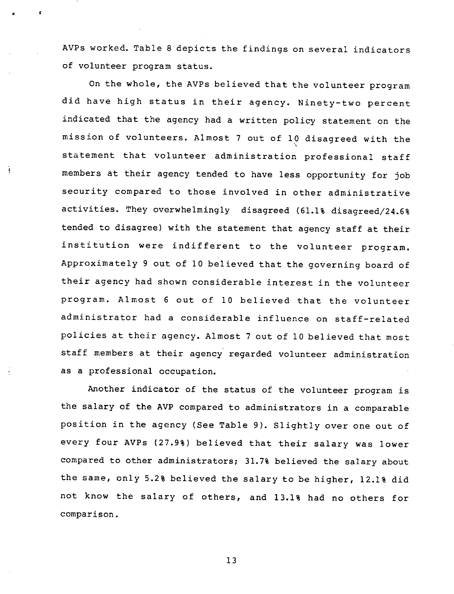AVPs worked. Table 8 depicts the findings on several indicators of volunteer program status.

'

On the whole, the AVPs believed that the volunteer program did have high status in their agency. Ninety-two percent indicated that the agency had a written policy statement on the mission of volunteers. Almost 7 out of 10 disagreed with the ' statement that volunteer administration professional sta members at their agency tended to have less opportunity for job security compared to those involved in other administrative activities. They overwhelmingly disagreed (61.1% disagreed/24.6% tended to disagree) with the statement that agency staff at their institution were indifferent to the volunteer program. Approximately 9 out of 10 believed that the governing board of their agency had shown considerable interest in the volunteer program. Almost 6 out of 10 believed that the volunteer administrator had a considerable influence on staff-related policies at their agency. Al most 7 out of 10 believed that most staff members at their agency regarded volunteer administration as a professional occupation.

Another indicator of the status of the volunteer program is the salary of the AVP compared to administrators in a comparable position in the agency (See Table 9). Slightly over one out of every four AVPs (27.9%) believed that their salary was lower compared to other administrators; 31.7% believed the salary about the same, only 5.2% believed the salary to be higher, 12.1% did not know the salary of others, and 13.1% had no others for comparison.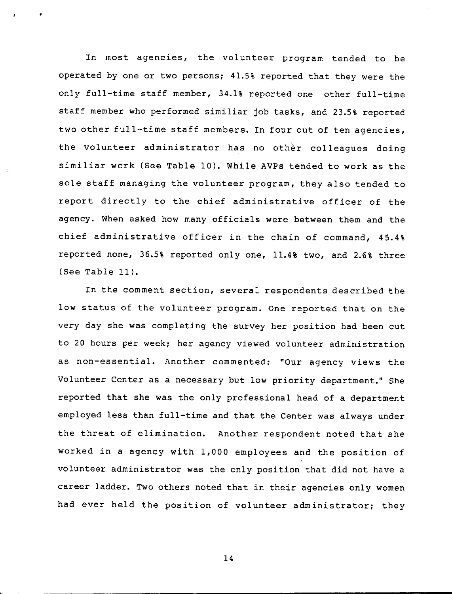In most agencies, the volunteer program tended to be operated by one or two persons; 41.5% reported that they were the only full-time staff member, 34.1% reported one other full-time staff member who performed similiar job tasks, and 23.5% reported two other full-time staff members. In four out of ten agencies, the volunteer administrator has no other colleagues doing similiar work (See Table 10). While AVPs tended to work as the sole staff managing the volunteer program, they also tended to report directly to the chief administrative officer of the agency. When asked how many officials were between them and the chief administrative officer in the chain of command, 45.4% reported none, 36.5% reported only one, 11.4% two, and 2.6% three (See Table 11).

In the comment section, several respondents described the low status of the volunteer program. One reported that on the very day she was completing the survey her position had been cut to 20 hours per week; her agency viewed volunteer administration as non-essential. Another commented: "Our agency views the Volunteer Center as a necessary but low priority department." She reported that she was the only professional head of a department employed less than full-time and that the Center was always under the threat of elimination. Another respondent noted that she worked in a agency with 1,000 employees and the position of volunteer administrator was the only position that did not have a career ladder. Two others noted that in their agencies only women had ever held the position of volunteer administrator; they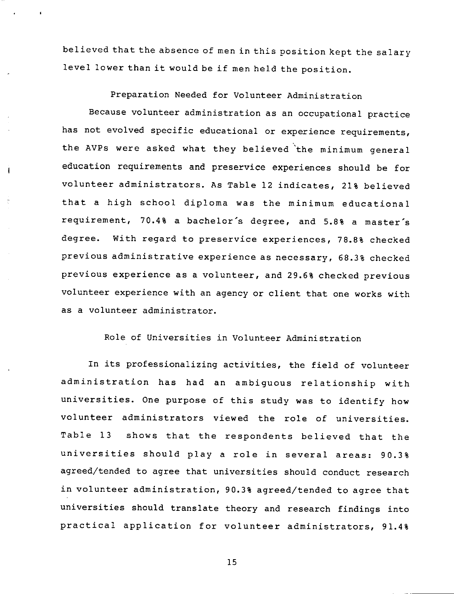believed that the absence of men in this position kept the salary level lower than it would be if men held the position.

Preparation Needed for Volunteer Administration

Because volunteer administration as an occupational practice has not evolved specific educational or experience requirements, the AVPs were asked what they believed 'the minimum general education requirements and preservice experiences should be for volunteer administrators. As Table 12 indicates, 21% believed that a high school diploma was the minimum educational requirement, 70.4% a bachelor's degree, and 5.8% a master's degree. With regard to preservice experiences, 78.8% checked previous administrative experience as necessary, 68.3% checked previous experience as a volunteer, and 29.6% checked previous volunteer experience with an agency or client that one works with as a volunteer administrator.

 $\mathbf{i}$ 

Role of Universities in Volunteer Administration

In its professionalizing activities, the field of volunteer administration has had an ambiguous relationship with universities. One purpose of this study was to identify how volunteer administrators viewed the role of universities. Table 13 shows that the respondents believed that the universities should play a role in several areas: 90.3% agreed/tended to agree that universities should conduct research in volunteer administration, 90.3% agreed/tended to agree that universities should translate theory and research findings into practical application for volunteer administrators, 91.4%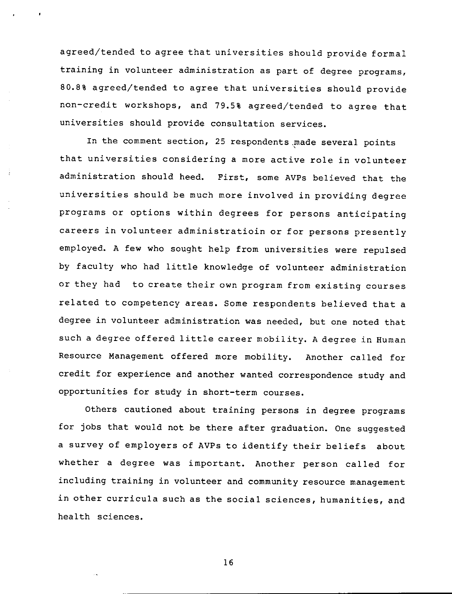agreed/tended to agree that universities should provide formal training in volunteer administration as part of degree programs, 80.8% agreed/tended to agree that universities should provide non-credit workshops, and 79.5% agreed/tended to agree that universities should provide consultation services.

In the comment section, 25 respondents made several points that universities considering a more active role in volunteer administration should heed. First, some AVPs believed that the universities should be much more involved in providing degree programs or options within degrees for persons anticipating careers in volunteer administratioin or for persons presently employed. A few who sought help from universities were repulsed by faculty who had little knowledge of volunteer administration or they had to create their own program from existing courses related to competency areas. Some respondents believed that a degree in volunteer administration was needed, but one noted that such a degree offered little career mobility. A degree in Human Resource Management offered more mobility. Another called for credit for experience and another wanted correspondence study and opportunities for study in short-term courses.

Others cautioned about training persons in degree programs for jobs that would not be there after graduation. One suggested a survey of employers of AVPs to identify their beliefs about whether a degree was important. Another person called for including training in volunteer and community resource management in other curricula such as the social sciences, humanities, and health sciences.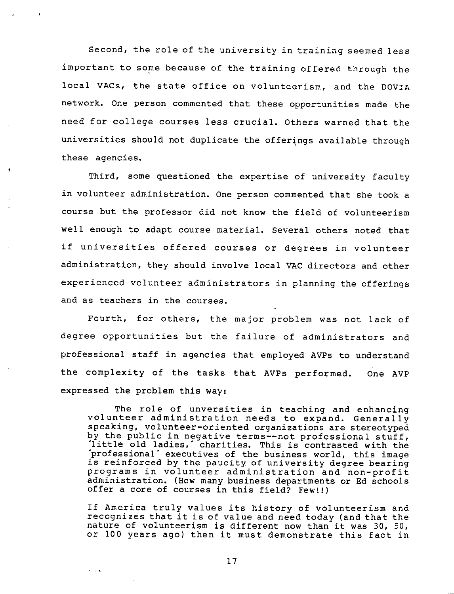Second, the role of the university in training seemed less important to some because of the training offered through the local VACs, the state office on volunteerism, and the DOVIA network. One person commented that these opportunities made the need for college courses less crucial. Others warned that the universities should not duplicate the offerings available through these agencies.

Third, some questioned the expertise of university faculty in volunteer administration. One person commented that she took a course but the professor did not know the field of volunteerism well enough to adapt course material. Several others noted that if universities offered courses or degrees in volunteer administration, they should involve local VAC directors and other experienced volunteer administrators in planning the offerings and as teachers in the courses.

Fourth, for others, the major problem was not lack of degree opportunities but the failure of administrators and professional staff in agencies that employed AVPs to understand the complexity of the tasks that AVPs performed. expressed the problem this way: One AVP

The role of unversities in teaching and enhancing volunteer administration needs to expand. Generally speaking, volunteer-oriented organizations are stereotyped by the public in negative terms--not professional stuff, 'little old ladies,' charities. This is contrasted with the 'professional' executives of the business world, this image is reinforced by the paucity of university degree bearing programs in volunteer administration and non-profit administration. (How many business departments or Ed schools offer a core of courses in this field? Few!!)

If America truly values its history of volunteerism and recognizes that it is of value and need today (and that the nature of volunteerism is different now than it was 30, 50, or 100 years ago) then it must demonstrate this fact in

17

والباداة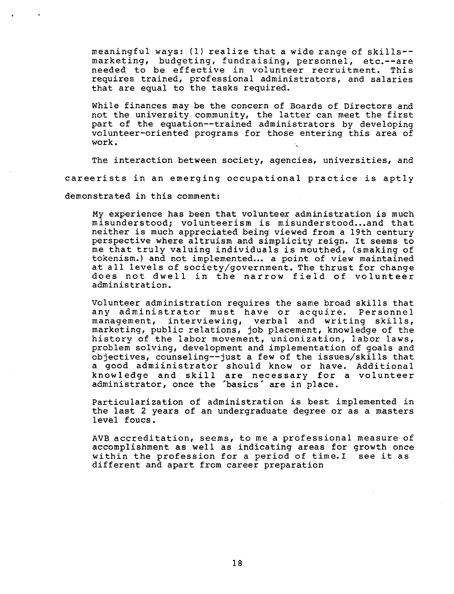meaningful ways: (1) realize that a wide range of skills- marketing, budgeting, fundraising, personnel, etc.--are needed to be effective in volunteer recruitment. This requires trained, professional administrators, and salaries that are equal to the tasks required.

While finances may be the concern of Boards of Directors and not the university community, the latter can meet the fir part of the equation--trained administrators by developi volunteer-oriented programs for those entering this area of work.

The interaction between society, agencies, universities, and careerists in an emerging occupational practice is aptly

demonstrated in this comment:

My experience has been that volunteer administration is much misunderstood; volunteerism is misunderstood...and that neither is much appreciated being viewed from a 19th century perspective where altruism and simplicity reign. It seems to me that truly valuing individuals is mouthed, (smaking of tokenism.) and not implemented... a point of view maintained at all levels of society/government. The thrust for change does not dwell in the narrow field of volunteer administration.

Volunteer administration requires the same broad skills that any administrator must have or acquire. Personnel management, interviewing, verbal and writing skills, marketing, public relations, job placement, knowledge of the history of the labor movement, unionization, labor laws, problem solving, development and implementation of goals and objectives, counseling--just a few of the issues/skills that a good admiinistrator should know or have. Additional knowledge and skill are necessary for a volunteer administrator, once the 'basics' are in place.

Particularization of administration is best implemented in the last 2 years of an undergraduate degree or as a masters level foucs.

AVB accreditation, seems, to me a professional measure of accomplishment as well as indicating areas for growth once within the profession for a period of time.I see it as different and apart from career preparation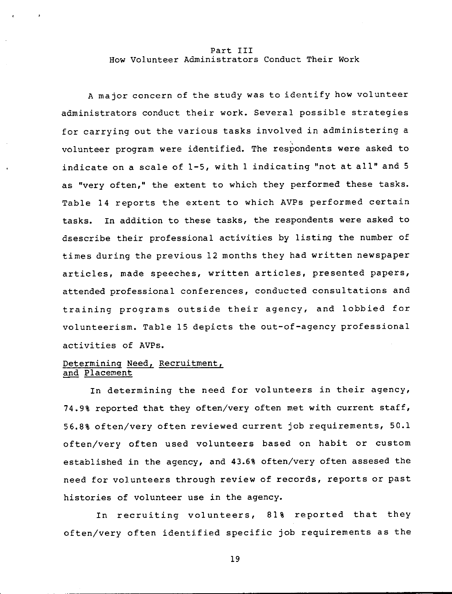#### Part III How Volunteer Administrators Conduct Their Work

A major concern of the study was to identify how volunteer administrators conduct their work. Several possible strategies for carrying out the various tasks involved in administering a volunteer program were identified. The respondents were asked to indicate on a scale of 1-5, with 1 indicating "not at all" and 5 as "very often," the extent to which they performed these tasks. Table 14 reports the extent to which AVPs performed certain tasks. In addition to these tasks, the respondents were asked to dsescribe their professional activities by listing the number of times during the previous 12 months they had written newspaper articles, made speeches, written articles, presented papers, attended professional conferences, conducted consultations and training programs outside their agency, and lobbied for volunteerism. Table 15 depicts the out-of-agency professional activities of AVPs.

### Determining Need, Recruitment, and Placement

In determining the need for volunteers in their agency, 74.9% reported that they often/very often met with current staff, 56.8% often/very often reviewed current job requirements, 50.1 often/very often used volunteers based on habit or custom established in the agency, and 43.6% often/very often assesed the need for volunteers through review of records, reports or past histories of volunteer use in the agency.

In recruiting volunteers, 81% reported that they often/very often identified specific job requirements as the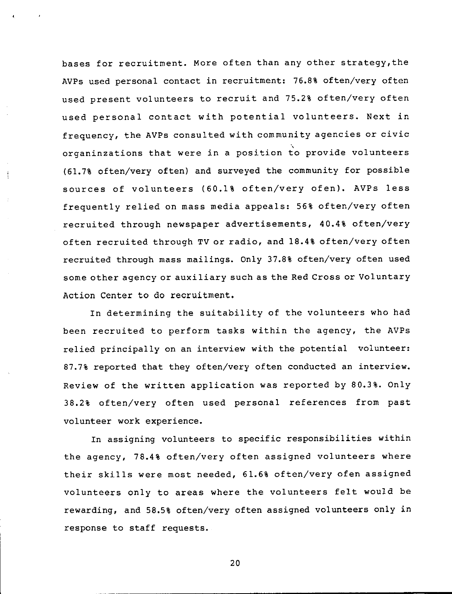bases for recruitment. More often than any other strategy,the AVPs used personal contact in recruitment: 76.8% often/very often used present volunteers to recruit and 75.2% often/very often used personal contact with potential volunteers. Next in frequency, the AVPs consulted with community agencies or civic organinzations that were in a position to provide volunte (61.7% often/very often) and surveyed the community for possible sources of volunteers (60.1% often/very ofen). AVPs less frequently relied on mass media appeals: 56% often/very often recruited through newspaper advertisements, 40.4% often/very often recruited through TV or radio, and 18.4% often/very often recruited through mass mailings. Only 37.8% often/very often used some other agency or auxiliary such as the Red Cross or Voluntary Action Center to do recruitment.

In determining the suitability of the volunteers who had been recruited to perform tasks within the agency, the AVPs relied principally on an interview with the potential volunteer: 87.7% reported that they often/very often conducted an interview. Review of the written application was reported by 80.3%. Only 38.2% often/very often used personal references from past volunteer work experience.

In assigning volunteers to specific responsibilities within the agency, 78.4% often/very often assigned volunteers where their skills were most needed, 61.6% often/very ofen assigned volunteers only to areas where the volunteers felt would be rewarding, and 58.5% often/very often assigned volunteers only in response to staff requests.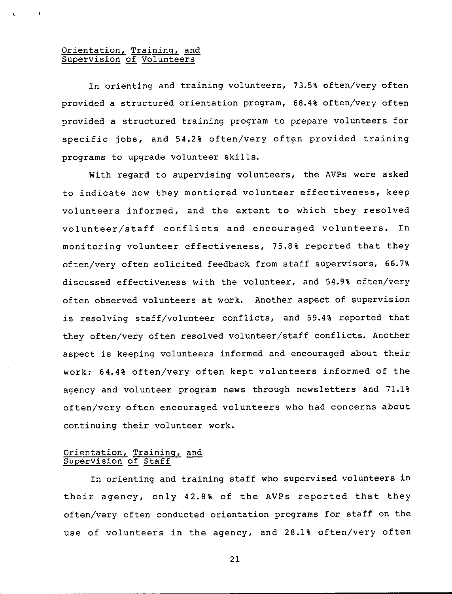### Orientation, Training, and <u>Supervision of Voluntee</u>

In orienting and training volunteers, 73.5% often/very often provided a structured orientation program, 68.4% often/very often provided a structured training program to prepare volunteers for specific jobs, and 54.2% often/very often provided training programs to upgrade volunteer skills.

With regard to supervising volunteers, the AVPs were asked to indicate how they montiored volunteer effectiveness, keep volunteers informed, and the extent to which they resolved volunteer/staff conflicts and encouraged volunteers. In monitoring volunteer effectiveness, 75.8% reported that they often/very often solicited feedback from staff supervisors, 66.7% discussed effectiveness with the volunteer, and 54.9% often/very often observed volunteers at work. Another aspect of supervision is resolving staff/volunteer conflicts, and 59.4% reported that they often/very often resolved volunteer/staff conflicts. Another aspect is keeping volunteers informed and encouraged about their work: 64.4% often/very often kept volunteers informed of the agency and volunteer program news through newsletters and 71.1% often/very often encouraged volunteers who had concerns about continuing their volunteer work.

#### Orientation, Training, and Supervision of Staff

In orienting and training staff who supervised volunteers in their agency, only 42.8% of the AVPs reported that they often/very often conducted orientation programs for staff on the use of volunteers in the agency, and 28.1% often/very often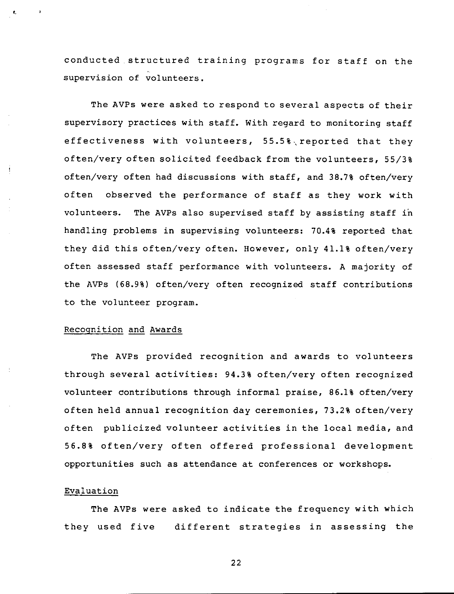conducted.structured training programs for staff on the supervision of volunteers.

The AVPs were asked to respond to several aspects of their supervisory practices with staff. With regard to monitoring staff effectiveness with volunteers, 55.5%,reported that they often/very often solicited feedback from the volunteers, 55/3% often/very often had discussions with staff, and 38.7% often/very often observed the performance of staff as they work with volunteers. The AVPs also supervised staff by assisting staff in handling problems in supervising volunteers: 70.4% reported that they did this often/very often. However, only 41.1% often/very often assessed staff performance with volunteers. A majority of the AVPs (68.9%) often/very often recognized staff contributions to the volunteer program.

#### Recognition and Awards

L

The AVPs provided recognition and awards to volunteers through several activities: 94.3% often/very often recognized volunteer contributions through informal praise, 86.1% often/very often held annual recognition day ceremonies, 73.2% often/very often publicized volunteer activities in the local media, and 56.8% often/very often offered professional development opportunities such as attendance at conferences or workshops.

### Evaluation

The AVPs were asked to indicate the frequency with which they used five different strategies in assessing the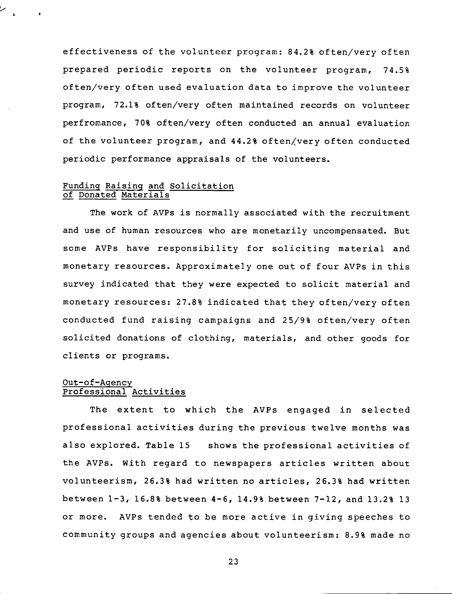effectiveness of the volunteer program: 84.2% often/very often prepared periodic reports on the volunteer program, 74.5% often/very often used evaluation data to improve the volunteer program, 72.1% often/very often maintained records on volunteer perfromance, 70% often/very often conducted an annual evaluation of the volunteer program, and **44.2%** often/very often conducted periodic performance appraisals of the volunteers.

### Funding Raising and Solicitation of Donated Materials

The work of AVPs is normally associated with the recruitment and use of human resources who are monetarily uncompensated. But some AVPs have responsibility for soliciting material and monetary resources. Approximately one out of four AVPs in this survey indicated that they were expected to solicit material and monetary resources: 27.8% indicated that they often/very often conducted fund raising campaigns and 25/9% often/very often solicited donations of clothing, materials, and other goods for clients or programs.

### Out-of-Agency Professional Activities

The extent to which the AVPs engaged in selected professional activities during the previous twelve months was also explored. Table 15 shows the professional activities of the AVPs. With regard to newspapers articles written about volunteerism, 26.3% had written no articles, 26.3% had written between 1-3, 16.8% between 4-6, 14.9% between 7-12, and 13.2% 13 or more. AVPs tended to be more active in giving speeches to community groups and agencies about volunteerism: 8.9% made no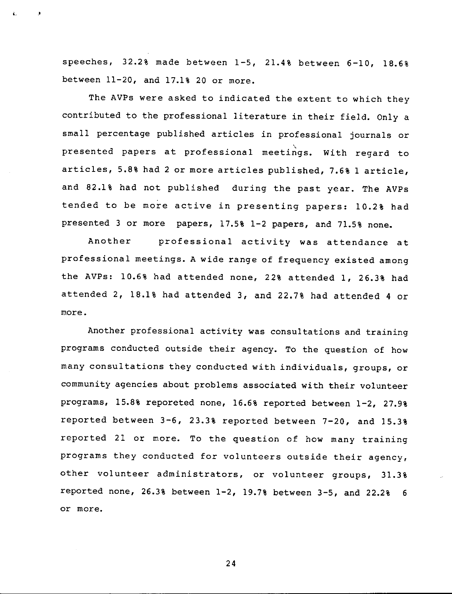speeches, 32.2% made between 1-5, 21.4% between 6-10, 18.6% between 11-20, and 17.1% 20 or more.

The AVPs were asked to indicated the extent to which they contributed to the professional literature in their field. Only a small percentage published articles in professional journals or presented papers at professional meetings. With regard to articles, 5.8% had 2 or more articles published, 7.6% 1 article, and 82.1% had not published during the past year. The AVPs tended to be more active in presenting papers: 10.2% had presented 3 or more papers, 17.5% 1-2 papers, and 71.5% none.

Another professional activity was attendance at professional meetings. A wide range of frequency existed among the AVPs: 10.6% had attended none, 22% attended 1, 26.3% had attended 2, 18.1% had attended 3, and 22.7% had attended 4 or more.

Another professional activity was consultations and training programs conducted outside their agency. To the question of how many consultations they conducted with individuals, groups, or community agencies about problems associated with their volunteer programs, 15.8% reporeted none, 16.6% reported between 1-2, 27.9% reported between 3-6, 23.3% reported between 7-20, and 15.3% reported 21 or more. To the question of how many training programs they conducted for volunteers outside their agency, other volunteer administrators, or volunteer groups, 31.3% reported none, 26.3% between 1-2, 19.7% between 3-5, and 22.2% 6 or more.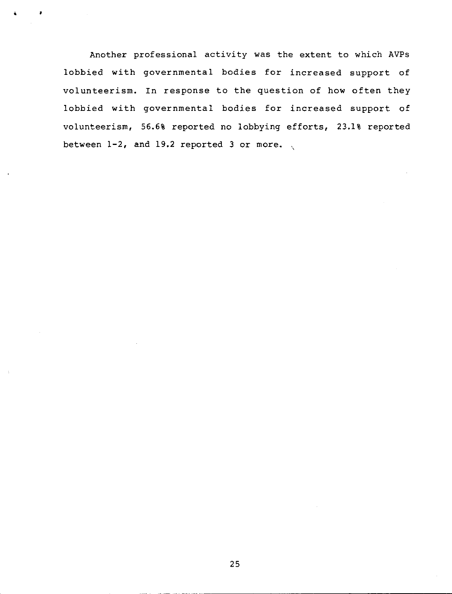Another professional activity was the extent to which AVPs lobbied with governmental bodies for increased support of volunteerism. In response to the question of how often they lobbied with governmental bodies for increased support of volunteerism, 56.6% reported no lobbying efforts, 23.1% reported between 1-2, and 19.2 reported 3 or more.  $\sqrt{ }$ '

•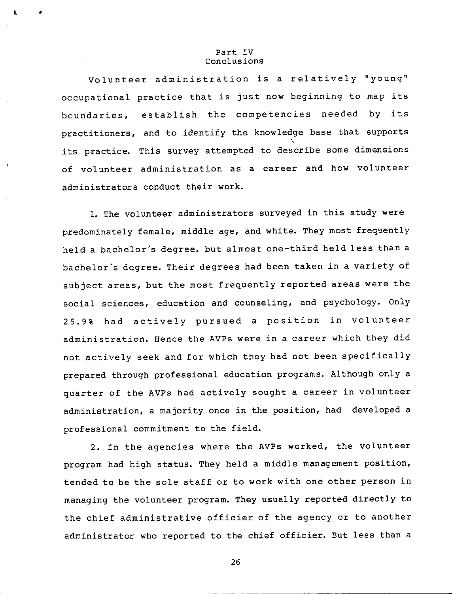#### Part IV Conclusions

L •

Volunteer administration is a relatively "young" occupational practice that is just now beginning to map its boundaries, establish the competencies needed by its practitioners, and to identify the knowledge base that supports its practice. This survey attempted to describe some dimensions of volunteer administration as a career and how volunteer administrators conduct their work.

1. The volunteer administrators surveyed in this study were predominately female, middle age, and white. They most frequently held a bachelor's degree. but almost one-third held less than a bachelor's degree. Their degrees had been taken in a variety of subject areas, but the most frequently reported areas were the social sciences, education and counseling, and psychology. Only 25.9% had actively pursued a position in volunteer administration. Hence the AVPs were in a career which they did not actively seek and for which they had not been specifically prepared through professional education programs. Although only a quarter of the AVPs had actively sought a career in volunteer administration, a majority once in the position, had developed a professional commitment to the field.

2. In the agencies where the AVPs worked, the volunteer program had high status. They held a middle management position, tended to be the sole staff or to work with one other person in managing the volunteer program. They usually reported directly to the chief administrative officier of the agency or to another administrator who reported to the chief officier. But less than a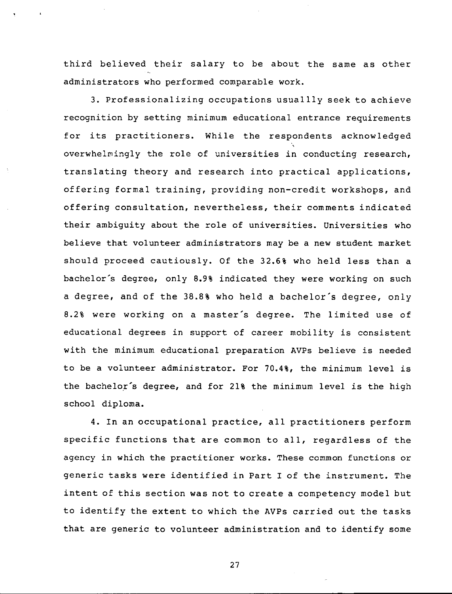third believed their salary to be about the same as other administrators who performed comparable work.

3. Professionalizing occupations usuallly seek to achieve recognition by setting minimum educational entrance requirements for its practitioners. While the respondents acknowledged overwhelmingly the role of universities in conducting research, translating theory and research into practical applications, offering formal training, providing non-credit workshops, and offering consultation, nevertheless, their comments indicated their ambiguity about the role of universities. Universities who believe that volunteer administrators may be a new student market should proceed cautiously. Of the 32.6% who held less than a bachelor's degree, only 8.9% indicated they were working on such a degree, and of the 38.8% who held a bachelor's degree, only 8.2% were working on a master's degree. The limited use of educational degrees in support of career mobility is consistent with the minimum educational preparation AVPs believe is needed to be a volunteer administrator. For 70.4%, the minimum level is the bachelor's degree, and for 21% the minimum level is the high school diploma.

4. In an occupational practice, all practitioners perform specific functions that are common to all, regardless of the agency in which the practitioner works. These common functions or generic tasks were identified in Part I of the instrument. The intent of this section was not to create a competency model but to identify the extent to which the AVPs carried out the tasks that are generic to volunteer administration and to identify some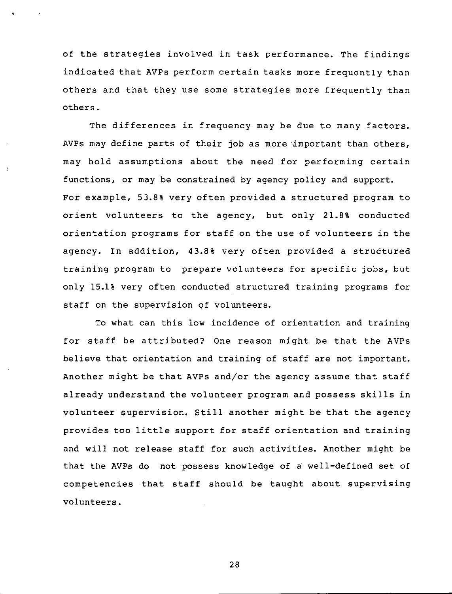of the strategies involved in task performance. The findings indicated that AVPs perform certain tasks more frequently than others and that they use some strategies more frequently than others.

The differences in frequency may be due to many factors. AVPs may define parts of their job as more 'important than others, may hold assumptions about the need for performing certain functions, or may be constrained by agency policy and support. For example, 53.8% very often provided a structured program to orient volunteers to the agency, but only **21.8%** conducted orientation programs for staff on the use of volunteers in the agency. In addition, 43.8% very often provided a structured training program to prepare volunteers for specific jobs, but only 15.1% very often conducted structured training programs for staff on the supervision of volunteers.

To what can this low incidence of orientation and training for staff be attributed? One reason might be that the AVPs believe that orientation and training of staff are not important. Another might be that AVPs and/or the agency assume that staff already understand the volunteer program and possess skills in volunteer supervision. Still another might be that the agency provides too little support for staff orientation and training and will not release staff for such activities. Another might be that the AVPs do not possess knowledge of a' well-defined set of competencies that staff should be taught about supervising volunteers.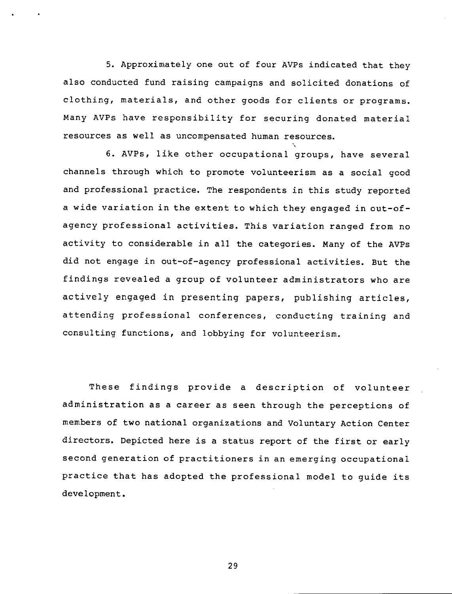5. Approximately one out of four AVPs indicated that they also conducted fund raising campaigns and solicited donations of clothing, materials, and other goods for clients or programs. Many AVPs have responsibility for securing donated material resources as well as uncompensated human resources.

 $\ddot{\phantom{1}}$ 

6. AVPs, like other occupational groups, have sever channels through which to promote volunteerism as a social good and professional practice. The respondents in this study reported a wide variation in the extent to which they engaged in out-ofagency professional activities. This variation ranged from no activity to considerable in all the categories. Many of the AVPs did not engage in out-of-agency professional activities. But the findings revealed a group of volunteer administrators who are actively engaged in presenting papers, publishing articles, attending professional conferences, conducting training and consulting functions, and lobbying for volunteerism.

These findings provide a description of volunteer administration as a career as seen through the perceptions of members of two national organizations and Voluntary Action Center directors. Depicted here is a status report of the first or early second generation of practitioners in an emerging occupational practice that has adopted the professional model to guide its development.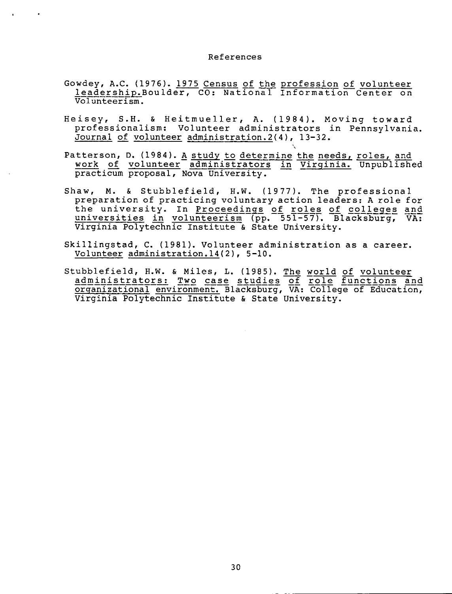#### References

- Gowdey, A.C. (1976). 1975 Census of the profession of volunteer leadership.Boulder, CO: National Information Center on Volunteerism.
- Heisey, S.H. & Heitmueller, A. (1984). Moving toward professionalism: Volunteer administrators in Pennsylvania. Journal of volunteer administration.2(4), 13-32.
- Patterson, D. (1984). <u>A study to determine the needs, roles, and</u> <u>work of volunteer administrators in Virginia. Unpublish</u> practicum proposal, Nova University.

 $\mathcal{L}$ 

- Shaw, **M.** & Stubblefield, H.W. (1977). The professional preparation of practicing voluntary action leaders: A role for the university. In <u>Proceedings of roles of colleges</u> universities in volunteerism (pp. 551-57). Blacksburg, VA: Virginia Polytechnic Institute & State University.
- Skillingstad, C. (1981). Volunteer administration as a career. Volunteer administration.14(2), 5-10.
- Stubblefield, H.W. & Miles, L. (1985). The world of volunteer administrators: Two case studies of role functions and organizational environment. Blacksburg, VA: College of Education~ Virginia Polytechnic Institute & State University.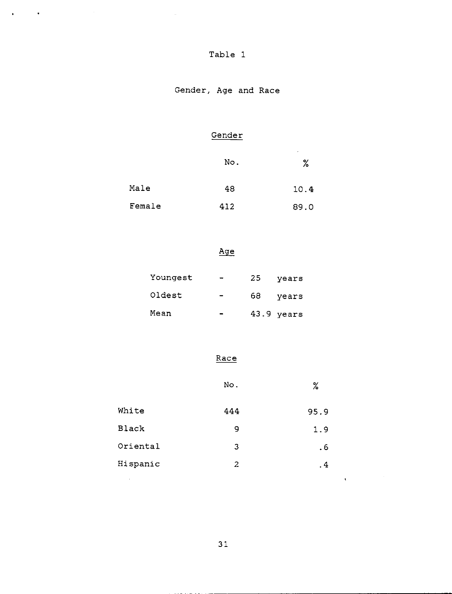| . .<br>ш. |  |  |
|-----------|--|--|
|-----------|--|--|

 $\Delta \phi = \frac{1}{2} \left( \frac{1}{2} \frac{1}{\sqrt{2}} \right) \left( \frac{1}{2} \frac{1}{\sqrt{2}} \right)$  , where  $\phi$ 

# Gender, Age and Race

## Gender

|        | No. | ٠<br>$\%$ |
|--------|-----|-----------|
| Male   | 48  | 10.4      |
| Female | 412 | 89.0      |

## Age

| Youngest | $\blacksquare$           | 25  | years      |
|----------|--------------------------|-----|------------|
| Oldest   | $\overline{\phantom{a}}$ | 68. | years      |
| Mean     |                          |     | 43.9 years |

## Race

|              | No. | $\%$      |        |
|--------------|-----|-----------|--------|
| White        | 444 | 95.9      |        |
| <b>Black</b> | 9   | 1.9       |        |
| Oriental     | 3   | .6        |        |
| Hispanic     | 2   | $\cdot$ 4 |        |
| $\bullet$    |     | ٠         | $\sim$ |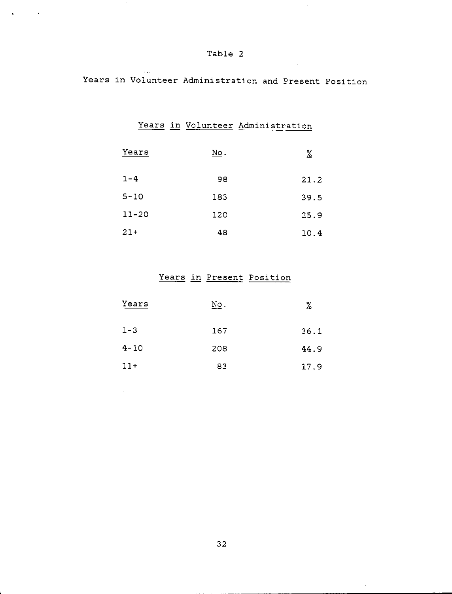$\sim 10^7$ 

 $\sim 10^7$ 

 $\sim 10^{-1}$ 

 $\Delta \mathbf{r}$  and  $\Delta \mathbf{r}$  and  $\Delta \mathbf{r}$ 

Years in Volunteer Administration and Present Position

Years in Volunteer Administration

| Years     | No. | %    |
|-----------|-----|------|
| $1 - 4$   | 98  | 21.2 |
| $5 - 10$  | 183 | 39.5 |
| $11 - 20$ | 120 | 25.9 |
| $21 +$    | 48  | 10.4 |

## Years in Present Position

| Years    | No. | ℅    |
|----------|-----|------|
| $1 - 3$  | 167 | 36.1 |
| $4 - 10$ | 208 | 44.9 |
| $11+$    | 83  | 17.9 |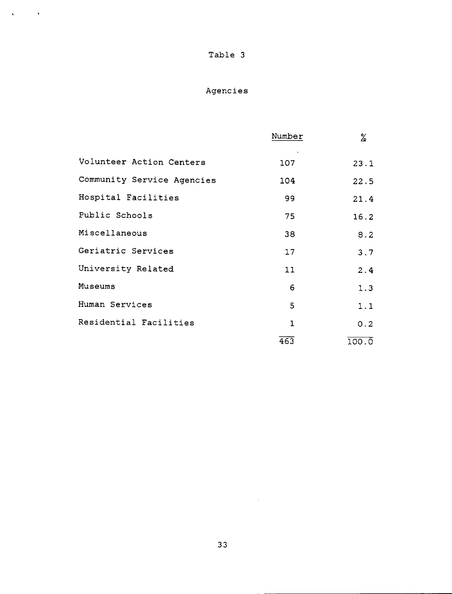$\mathbf{A}^{(i)}$  and  $\mathbf{A}^{(i)}$ 

# Agencies

|                            | Number       | X                  |
|----------------------------|--------------|--------------------|
| Volunteer Action Centers   | 107          | 23.1               |
| Community Service Agencies | 104          | 22.5               |
| Hospital Facilities        | 99           | 21.4               |
| Public Schools             | 75           | 16.2               |
| Miscellaneous              | 38           | 8.2                |
| Geriatric Services         | 17           | 3.7                |
| University Related         | 11           | 2.4                |
| Museums                    | 6            | 1.3                |
| Human Services             | 5            | 1.1                |
| Residential Facilities     | $\mathbf{1}$ | 0.2                |
|                            | 463          | $100.\overline{0}$ |

 $\mathcal{L}^{\text{max}}_{\text{max}}$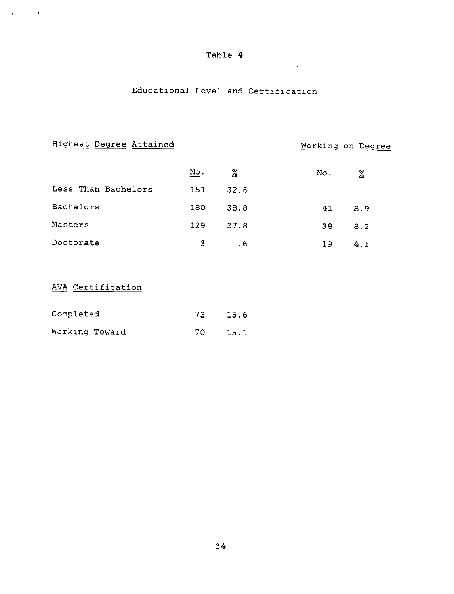$\bar{\mathcal{A}}$ 

## Educational Level and Certification

| Highest Degree Attained |     |      | Working on Degree |
|-------------------------|-----|------|-------------------|
|                         | No. | $\%$ | No.<br>℅          |
| Less Than Bachelors     | 151 | 32.6 |                   |
| Bachelors               | 180 | 38.8 | 8.9<br>41         |
| Masters                 | 129 | 27.8 | 38<br>8.2         |
| Doctorate               | 3   | . 6  | 19<br>4.1         |
|                         |     |      |                   |

## AVA Certification

 $\Delta \mathbf{r}$  and  $\Delta \mathbf{r}$ 

| Completed      |  | 72  | 15.6 |  |
|----------------|--|-----|------|--|
| Working Toward |  | 70. | 15.1 |  |

 $\mathcal{A}^{\mathcal{A}}$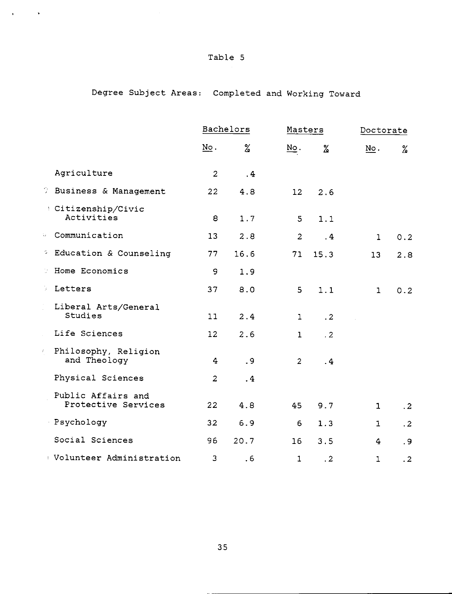$\mathcal{L}_{\text{max}}$  and  $\mathcal{L}_{\text{max}}$ 

# Degree Subject Areas: Completed and Working Toward

|     |                                           |                           | Bachelors | Masters                   |           | Doctorate                 |           |
|-----|-------------------------------------------|---------------------------|-----------|---------------------------|-----------|---------------------------|-----------|
|     |                                           | $\underline{\text{No}}$ . | ℅         | $\underline{\text{No}}$ . | %         | $\underline{\text{No}}$ . | %         |
|     | Agriculture                               | $\overline{a}$            | .4        |                           |           |                           |           |
|     | <b>J</b> Business & Management            | 22                        | 4.8       | 12                        | 2.6       |                           |           |
|     | Citizenship/Civic<br>Activities           | 8                         | 1.7       | $5^{\circ}$               | 1.1       |                           |           |
| tu. | Communication                             | 13                        | 2.8       | $\overline{2}$            | .4        | $\mathbf{1}$              | 0.2       |
|     | <sup>2</sup> Education & Counseling       | 77                        | 16.6      | 71                        | 15.3      | 13                        | 2.8       |
| 91  | Home Economics                            | 9                         | 1.9       |                           |           |                           |           |
| ÿ.  | Letters                                   | 37                        | 8.0       | 5                         | 1.1       | $\mathbf{1}$              | 0.2       |
|     | Liberal Arts/General<br>Studies           | 11                        | 2.4       | 1                         | $\cdot$ 2 |                           |           |
|     | Life Sciences                             | 12                        | 2.6       | $\mathbf{1}$              | $\cdot$ 2 |                           |           |
| Ę.  | Philosophy, Religion<br>and Theology      | 4                         | $\cdot$ 9 | 2                         | .4        |                           |           |
|     | Physical Sciences                         | 2                         | $\cdot$ 4 |                           |           |                           |           |
|     | Public Affairs and<br>Protective Services | 22                        | 4.8       | 45                        | 9.7       | $\mathbf{1}$              | $\cdot$ 2 |
|     | Psychology                                | 32                        | 6.9       | 6                         | 1.3       | $\mathbf{I}$              | $\cdot$ 2 |
|     | Social Sciences                           | 96                        | 20.7      | 16                        | 3.5       | 4                         | .9        |
|     | Dolunteer Administration                  | 3                         | . 6       | 1                         | .2        | $\mathbf 1$               | $\cdot$ 2 |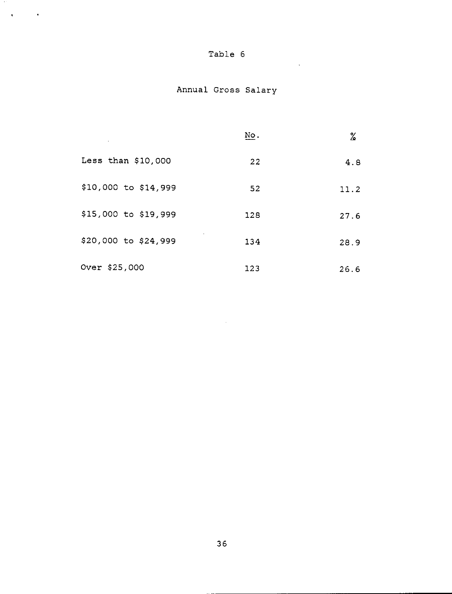| Table |  | 6 |
|-------|--|---|
|-------|--|---|

 $\mathcal{L}^{\text{max}}_{\text{max}}$  , where  $\mathcal{L}^{\text{max}}_{\text{max}}$ 

 $\mathcal{A}^{\text{max}}_{\text{max}}$ 

# Annual Gross Salary

|                      | No. | %    |
|----------------------|-----|------|
| Less than $$10,000$  | 22  | 4.8  |
| \$10,000 to \$14,999 | 52  | 11.2 |
| \$15,000 to \$19,999 | 128 | 27.6 |
| \$20,000 to \$24,999 | 134 | 28.9 |
| Over \$25,000        | 123 | 26.6 |

 $\mathcal{L}^{\text{max}}_{\text{max}}$  and  $\mathcal{L}^{\text{max}}_{\text{max}}$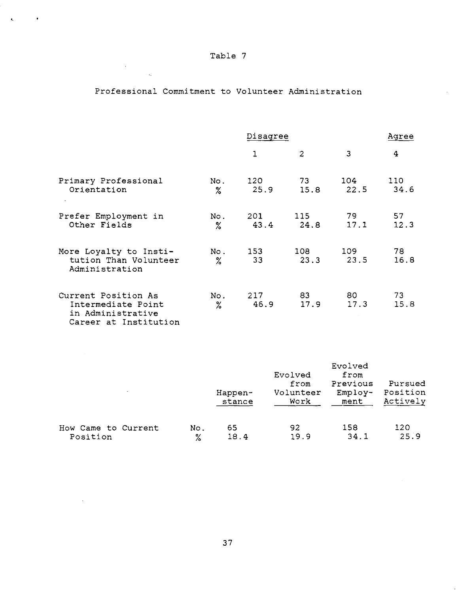$\label{eq:2} \frac{1}{\sqrt{2}}\sum_{i=1}^n\frac{1}{\sqrt{2}}\sum_{i=1}^n\frac{1}{\sqrt{2}}\sum_{i=1}^n\frac{1}{\sqrt{2}}\sum_{i=1}^n\frac{1}{\sqrt{2}}\sum_{i=1}^n\frac{1}{\sqrt{2}}\sum_{i=1}^n\frac{1}{\sqrt{2}}\sum_{i=1}^n\frac{1}{\sqrt{2}}\sum_{i=1}^n\frac{1}{\sqrt{2}}\sum_{i=1}^n\frac{1}{\sqrt{2}}\sum_{i=1}^n\frac{1}{\sqrt{2}}\sum_{i=1}^n\frac{1$ 

 $\sim 10^{-11}$ 

 $\mathbf{c} = \mathbf{c} \times \mathbf{r}$ 

## Professional Commitment to Volunteer Administration

 $\sim$ 

|                                                                                         | Disagree     |             |                | <u>Agree</u> |             |
|-----------------------------------------------------------------------------------------|--------------|-------------|----------------|--------------|-------------|
|                                                                                         |              | 1           | $\overline{2}$ | 3            | 4           |
| Primary Professional<br>Orientation                                                     | No .<br>$\%$ | 120<br>25.9 | 73<br>15.8     | 104<br>22.5  | 110<br>34.6 |
| Prefer Employment in<br>Other Fields                                                    | No.<br>$\%$  | 201<br>43.4 | 115<br>24.8    | 79<br>17.1   | 57<br>12.3  |
| More Loyalty to Insti-<br>tution Than Volunteer<br>Administration                       | No.<br>$\%$  | 153<br>33   | 108<br>23.3    | 109<br>23.5  | 78<br>16.8  |
| Current Position As<br>Intermediate Point<br>in Administrative<br>Career at Institution | No.<br>$\%$  | 217<br>46.9 | 83<br>17.9     | 80 -<br>17.3 | 73<br>15.8  |

| $\cdot$             |     | Happen-<br>stance | Evolved<br>from<br>Volunteer<br>Work | Evolved<br>from<br>Previous<br>$Employ-$<br>ment | Pursued<br>Position<br>Actively |
|---------------------|-----|-------------------|--------------------------------------|--------------------------------------------------|---------------------------------|
| How Came to Current | No. | 65                | 92                                   | 158                                              | 120                             |
| Position            | ℅   | 18.4              | 19.9                                 | 34.1                                             | 25.9                            |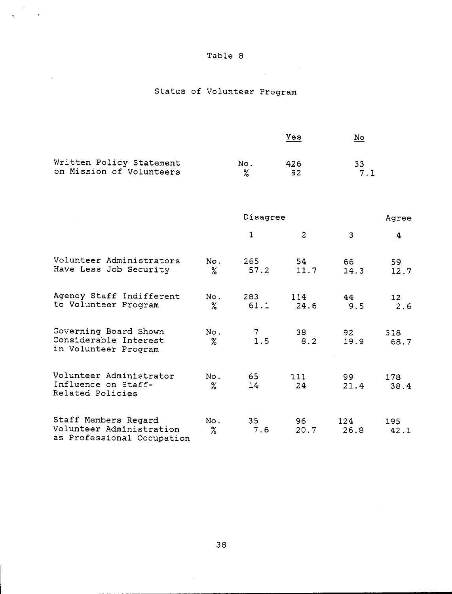$\mathcal{L}_{\mathcal{L}}$ 

 $\sigma_{\rm c}$  $\mathcal{L}_{\mathcal{A}}$ 

 $\sim 10$ 

 $\sim$   $\sim$ 

# Status of Volunteer Program

|                                                                                |             |              | Yes            | No          |               |
|--------------------------------------------------------------------------------|-------------|--------------|----------------|-------------|---------------|
| Written Policy Statement<br>on Mission of Volunteers                           |             | No.<br>℅     | 426<br>92      | 33<br>7.1   |               |
|                                                                                |             | Disagree     |                |             | Agree         |
|                                                                                |             | $\mathbf{I}$ | $\overline{c}$ | 3           | 4             |
| Volunteer Administrators<br>Have Less Job Security                             | No.<br>℅    | 265<br>57.2  | 54<br>11.7     | 66<br>14.3  | 59<br>12.7    |
| Agency Staff Indifferent<br>to Volunteer Program                               | No.<br>℅    | 283<br>61.1  | 114<br>24.6    | 44<br>9.5   | 12<br>$2.6\,$ |
| Governing Board Shown<br>Considerable Interest<br>in Volunteer Program         | No.<br>%    | 1.5          | 38<br>8.2      | 92<br>19.9  | 318<br>68.7   |
| Volunteer Administrator<br>Influence on Staff-<br>Related Policies             | No.<br>$\%$ | 65<br>14     | 111<br>24      | 99<br>21.4  | 178<br>38.4   |
| Staff Members Regard<br>Volunteer Administration<br>as Professional Occupation | No.<br>%    | 35<br>7.6    | 96<br>20.7     | 124<br>26.8 | 195<br>42.1   |

 $\bar{\gamma}$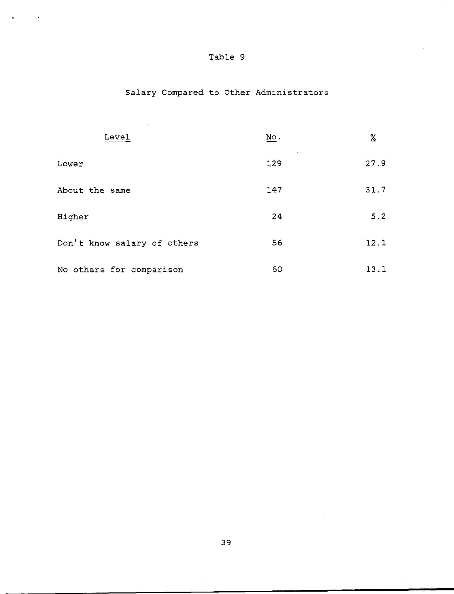$\mathcal{L}_{\mathrm{eff}}$ 

 $\mathbf{q}_i$  ,  $\mathbf{q}_i$  ,  $\mathbf{q}_i$ 

# Salary Compared to Other Administrators

 $\mathcal{L}^{\text{max}}_{\text{max}}$  and  $\mathcal{L}^{\text{max}}_{\text{max}}$ 

| Level                       | $\underline{\text{No}}$ . | ℅    |
|-----------------------------|---------------------------|------|
| Lower                       | 129                       | 27.9 |
| About the same              | 147                       | 31.7 |
| Higher                      | 24                        | 5.2  |
| Don't know salary of others | 56                        | 12.1 |
| No others for comparison    | 60                        | 13.1 |

 $\sim 10^{-1}$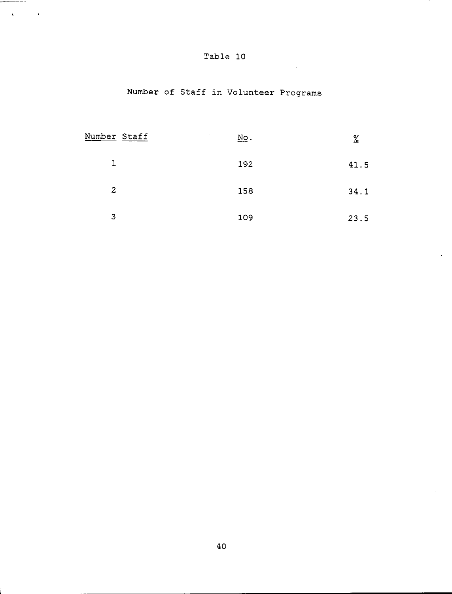| Table |  | 10 |
|-------|--|----|
|-------|--|----|

 $\sim 10^{-10}$ 

 $\overline{\phantom{a}}$ 

and and company of the second second and the second second second and second second and second and second and  $\mathcal{L}^{\text{max}}_{\text{max}}$  and  $\mathcal{L}^{\text{max}}_{\text{max}}$ 

# Number of Staff in Volunteer Programs

| Number Staff   | $\sim$<br>$\underline{\text{No}}$ . | $\frac{9}{6}$ |
|----------------|-------------------------------------|---------------|
| 1              | 192                                 | 41.5          |
| $\overline{c}$ | 158                                 | 34.1          |
| 3              | 109                                 | 23.5          |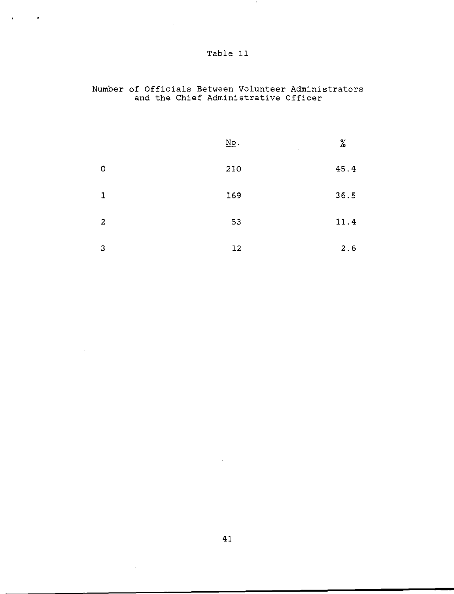| Table |  |
|-------|--|
|       |  |

 $\Delta \sim 10$ 

 $\sim 100$ 

## nuel of Officials Between Volunteer Administrators a the Chief Administrative Officer

|                | $\underline{\mathbf{N}}\underline{\mathbf{o}}$ . | %    |
|----------------|--------------------------------------------------|------|
| $\circ$        | 210                                              | 45.4 |
| $\mathbf{1}$   | 169                                              | 36.5 |
| $\overline{2}$ | 53                                               | 11.4 |
| 3              | 12                                               | 2.6  |

 $\sim 10^7$ 

 $\sim 10^6$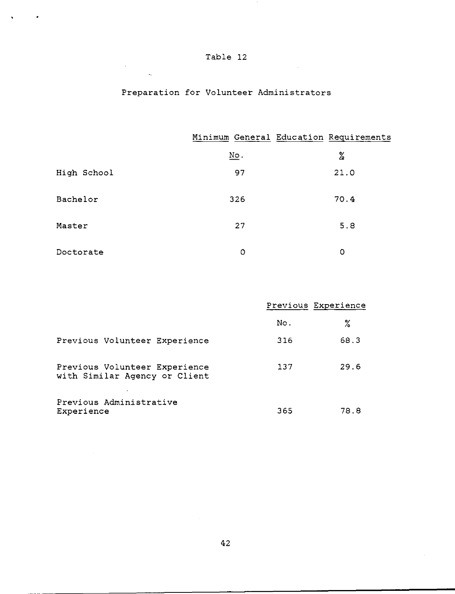| Table | 12 |
|-------|----|
|-------|----|

 $\label{eq:2.1} \frac{1}{\sqrt{2\pi}}\int_{\mathbb{R}^3}\frac{1}{\sqrt{2\pi}}\left(\frac{1}{\sqrt{2\pi}}\right)^2\frac{1}{\sqrt{2\pi}}\int_{\mathbb{R}^3}\frac{1}{\sqrt{2\pi}}\frac{1}{\sqrt{2\pi}}\frac{1}{\sqrt{2\pi}}\frac{1}{\sqrt{2\pi}}\frac{1}{\sqrt{2\pi}}\frac{1}{\sqrt{2\pi}}\frac{1}{\sqrt{2\pi}}\frac{1}{\sqrt{2\pi}}\frac{1}{\sqrt{2\pi}}\frac{1}{\sqrt{2\pi}}\frac{1}{\sqrt{2\pi}}\frac{$ 

 $\label{eq:2.1} \frac{1}{\sqrt{2}}\sum_{i=1}^n\frac{1}{\sqrt{2\pi}}\sum_{i=1}^n\frac{1}{\sqrt{2\pi}}\sum_{i=1}^n\frac{1}{\sqrt{2\pi}}\sum_{i=1}^n\frac{1}{\sqrt{2\pi}}\sum_{i=1}^n\frac{1}{\sqrt{2\pi}}\sum_{i=1}^n\frac{1}{\sqrt{2\pi}}\sum_{i=1}^n\frac{1}{\sqrt{2\pi}}\sum_{i=1}^n\frac{1}{\sqrt{2\pi}}\sum_{i=1}^n\frac{1}{\sqrt{2\pi}}\sum_{i=1}^n\frac{$ 

 $\Delta \sim 10^4$ 

 $\bullet$ 

## Preparation for Volunteer Administrators

|             |                           | Minimum General Education Requirements |
|-------------|---------------------------|----------------------------------------|
|             | $\underline{\text{No}}$ . | %                                      |
| High School | 97                        | 21.0                                   |
| Bachelor    | 326                       | 70.4                                   |
| Master      | 27                        | 5.8                                    |
| Doctorate   | 0                         | 0                                      |

|                                                                |     | Previous Experience |
|----------------------------------------------------------------|-----|---------------------|
|                                                                | No. | %                   |
| Previous Volunteer Experience                                  | 316 | 68.3                |
| Previous Volunteer Experience<br>with Similar Agency or Client | 137 | 29.6                |
| Previous Administrative<br>Experience                          | 365 | 78.8                |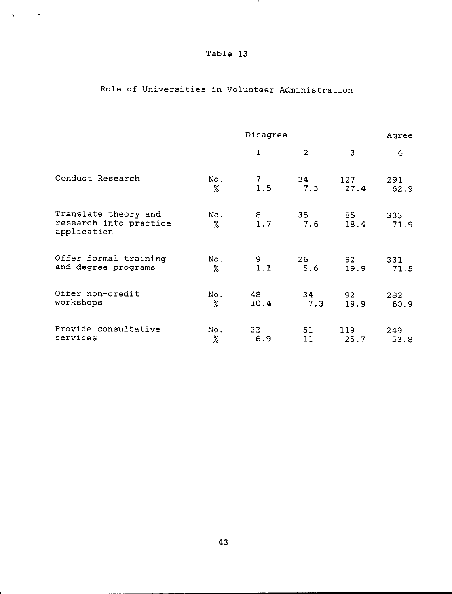$\Delta \phi = 0.000$   $\sigma$ 

**TELEVISION** 

# Role of Universities in Volunteer Administration

|                                                               |             | Agree                                   |                        |             |             |
|---------------------------------------------------------------|-------------|-----------------------------------------|------------------------|-------------|-------------|
|                                                               |             | 1                                       | $\cdot$ 2              | 3           | 4           |
| Conduct Research                                              | No.<br>%    | $\begin{array}{c} 7 \\ 1.5 \end{array}$ | 34<br>7.3              | 127<br>27.4 | 291<br>62.9 |
| Translate theory and<br>research into practice<br>application | No.<br>$\%$ | $\begin{array}{c} 8 \\ 1.7 \end{array}$ | 35 <sub>2</sub><br>7.6 | 85<br>18.4  | 333<br>71.9 |
| Offer formal training<br>and degree programs                  | No.<br>$\%$ | $\frac{9}{1.1}$                         | 26<br>5.6              | 92<br>19.9  | 331<br>71.5 |
| Offer non-credit<br>workshops                                 | No.<br>$\%$ | 48<br>10.4                              | 34<br>7.3              | 92<br>19.9  | 282<br>60.9 |
| Provide consultative<br>services                              | No.<br>$\%$ | 32<br>6.9                               | 51<br>11               | 119<br>25.7 | 249<br>53.8 |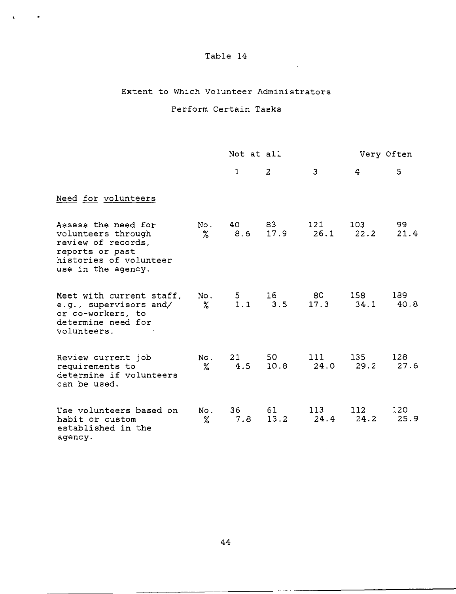$\sim 100$  km s  $^{-1}$ 

 $\sim$   $\sim$ 

 $\mathbf{A}^{\text{max}}_{\text{max}}$  , where

### Extent to Which Volunteer Administrators

## Perform Certain Tasks

|                                                                                                                                    |             | Not at all   |              |                | Very Often               |             |  |
|------------------------------------------------------------------------------------------------------------------------------------|-------------|--------------|--------------|----------------|--------------------------|-------------|--|
|                                                                                                                                    |             | 1            | 2            | $\overline{3}$ | 4                        | 5           |  |
| Need for volunteers                                                                                                                |             |              |              |                |                          |             |  |
| Assess the need for<br>volunteers through<br>review of records,<br>reports or past<br>histories of volunteer<br>use in the agency. | No.<br>$\%$ | 40 —<br>8.6  | 83<br>17.9   | 121<br>26.1    | 103 <sub>1</sub><br>22.2 | 99<br>21.4  |  |
| Meet with current staff,<br>e.g., supervisors and/<br>or co-workers, to<br>determine need for<br>volunteers.                       | $\%$        | No. 5<br>1.1 | 16<br>3.5    | 80<br>17.3     | 158<br>34.1              | 189<br>40.8 |  |
| Review current job<br>requirements to<br>determine if volunteers<br>can be used.                                                   | No.<br>$\%$ | 21<br>4.5    | 50 -<br>10.8 | 111<br>24.0    | 135<br>29.2              | 128<br>27.6 |  |
| Use volunteers based on<br>habit or custom<br>established in the<br>agency.                                                        | No.<br>$\%$ | 36<br>7.8    | 61<br>13.2   | 113<br>24.4    | 112<br>24.2              | 120<br>25.9 |  |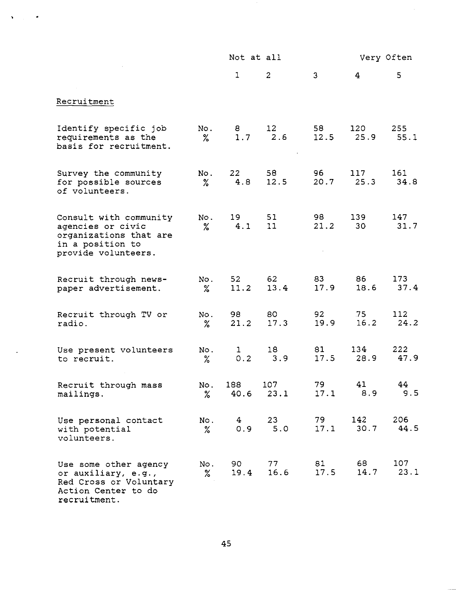|                                                                                                                  |             | Not at all            |              |              | Very Often   |             |  |
|------------------------------------------------------------------------------------------------------------------|-------------|-----------------------|--------------|--------------|--------------|-------------|--|
|                                                                                                                  |             | 1                     | $\mathbf{2}$ | 3            | 4            | 5           |  |
| Recruitment                                                                                                      |             |                       |              |              |              |             |  |
| Identify specific job<br>requirements as the<br>basis for recruitment.                                           | No.<br>$\%$ | 8.<br>1.7             | 12<br>2.6    | 58<br>12.5   | 120<br>25.9  | 255<br>55.1 |  |
| Survey the community<br>for possible sources<br>of volunteers.                                                   | No.<br>$\%$ | 22<br>4.8             | 58<br>12.5   | 96 -<br>20.7 | 117<br>25.3  | 161<br>34.8 |  |
| Consult with community<br>agencies or civic<br>organizations that are<br>in a position to<br>provide volunteers. | No.<br>$\%$ | 19<br>4.1             | 51<br>11     | 98<br>21.2   | 139<br>30    | 147<br>31.7 |  |
| Recruit through news-<br>paper advertisement.                                                                    | No.<br>℅    | 52<br>11.2            | 62<br>13.4   | 83<br>17.9   | 86 -<br>18.6 | 173<br>37.4 |  |
| Recruit through TV or<br>radio.                                                                                  | No.<br>$\%$ | 98<br>21.2            | 80<br>17.3   | 92<br>19.9   | 75<br>16.2   | 112<br>24.2 |  |
| Use present volunteers<br>to recruit.                                                                            | No.<br>$\%$ | $\mathbf{I}$<br>0.2   | 18<br>3.9    | 81 —<br>17.5 | 134<br>28.9  | 222<br>47.9 |  |
| Recruit through mass<br>mailings.                                                                                | No.<br>$\%$ | 188<br>40.6           | 107<br>23.1  | 79<br>17.1   | 41<br>8.9    | 44<br>9.5   |  |
| Use personal contact<br>with potential<br>volunteers.                                                            | No.<br>$\%$ | 4 <sup>1</sup><br>0.9 | 23<br>5.0    | 79<br>17.1   | 142<br>30.7  | 206<br>44.5 |  |
| Use some other agency<br>or auxiliary, e.g.,<br>Red Cross or Voluntary<br>Action Center to do<br>recruitment.    | No.<br>%    | 90 -<br>19.4          | 77<br>16.6   | 81<br>17.5   | 68<br>14.7   | 107<br>23.1 |  |

 $\hat{\mathbf{v}}$ 

 $\bullet$ 

 $\hat{\boldsymbol{\theta}}$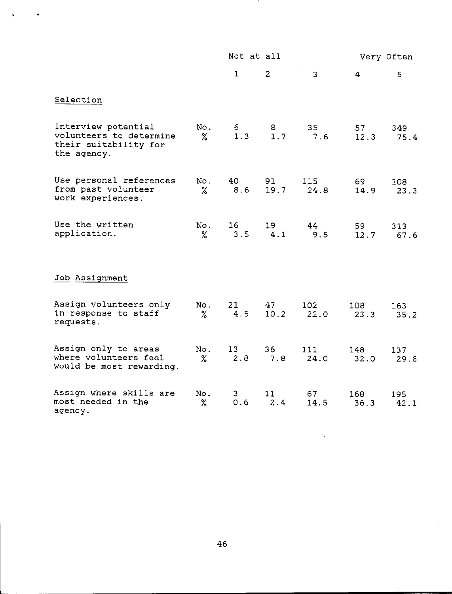|                                                                                        |             | Not at all   |                |              | Very Often     |             |  |
|----------------------------------------------------------------------------------------|-------------|--------------|----------------|--------------|----------------|-------------|--|
|                                                                                        |             | $\mathbf{1}$ | $\overline{2}$ | 3            | $\overline{4}$ | 5           |  |
| Selection                                                                              |             |              |                |              |                |             |  |
| Interview potential<br>volunteers to determine<br>their suitability for<br>the agency. | No.<br>$\%$ | 6<br>1.3     | 8<br>1.7       | 35<br>7.6    | 57<br>12.3     | 349<br>75.4 |  |
| Use personal references<br>from past volunteer<br>work experiences.                    | No.<br>$\%$ | 40<br>8.6    | 91<br>19.7     | 115<br>24.8  | 69<br>14.9     | 108<br>23.3 |  |
| Use the written<br>application.                                                        | No.<br>%    | 16<br>3.5    | 19<br>4.1      | 44<br>9.5    | 59<br>12.7     | 313<br>67.6 |  |
| Job Assignment                                                                         |             |              |                |              |                |             |  |
| Assign volunteers only<br>in response to staff<br>requests.                            | No.<br>$\%$ | 21<br>4.5    | 47<br>10.2     | 102.<br>22.0 | 108<br>23.3    | 163<br>35.2 |  |
| Assign only to areas<br>where volunteers feel<br>would be most rewarding.              | No.<br>$\%$ | 13<br>2.8    | 36<br>7.8      | 111<br>24.0  | 148<br>32.0    | 137<br>29.6 |  |
| Assign where skills are<br>most needed in the<br>agency.                               | No.<br>%    | 3<br>0.6     | 11<br>2.4      | 67<br>14.5   | 168<br>36.3    | 195<br>42.1 |  |

 $\hat{\textbf{v}}$ 

 $\bullet$ 

 $\ddot{\phantom{a}}$ 

 $\mathcal{A}$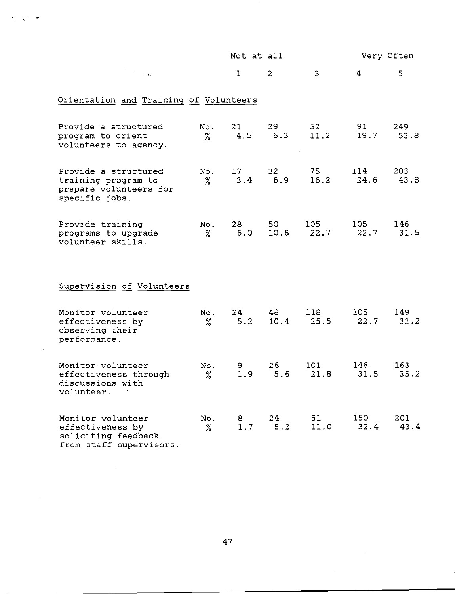|                                                                                         |             | Not at all   |                        |                         |                | Very Often  |
|-----------------------------------------------------------------------------------------|-------------|--------------|------------------------|-------------------------|----------------|-------------|
|                                                                                         |             | $\mathbf{1}$ | $\overline{2}$         | $\overline{3}$          | $\overline{4}$ | 5           |
| Orientation and Training of Volunteers                                                  |             |              |                        |                         |                |             |
| Provide a structured<br>program to orient<br>volunteers to agency.                      | No.<br>℅    | 21<br>4.5    | 29<br>6.3              | 52 <sub>2</sub><br>11.2 | 91 -<br>19.7   | 249<br>53.8 |
| Provide a structured<br>training program to<br>prepare volunteers for<br>specific jobs. | No.<br>℅    | 17<br>3.4    | 32 <sub>2</sub><br>6.9 | 75<br>16.2              | 114<br>24.6    | 203<br>43.8 |
| Provide training<br>programs to upgrade<br>volunteer skills.                            | No.<br>$\%$ | 28<br>6.0    | 50 —                   | 105<br>10.8 22.7        | 105<br>22.7    | 146<br>31.5 |
| Supervision of Volunteers                                                               |             |              |                        |                         |                |             |
| Monitor volunteer<br>effectiveness by<br>observing their<br>performance.                | No.<br>$\%$ | 24<br>5.2    | 48<br>10.4             | 118<br>25.5             | 105<br>22.7    | 149<br>32.2 |
| Monitor volunteer<br>effectiveness through<br>discussions with<br>volunteer.            | No.<br>%    | 9<br>1.9     | 26<br>5.6              | 101<br>21.8             | 146<br>31.5    | 163<br>35.2 |
| Monitor volunteer<br>effectiveness by<br>soliciting feedback<br>from staff supervisors. | No.<br>℅    | 8<br>1.7     | 24<br>5.2              | 51<br>11.0              | 150<br>32.4    | 201<br>43.4 |

 $\ddot{\phantom{a}}$ 

 $\ddot{\phantom{a}}$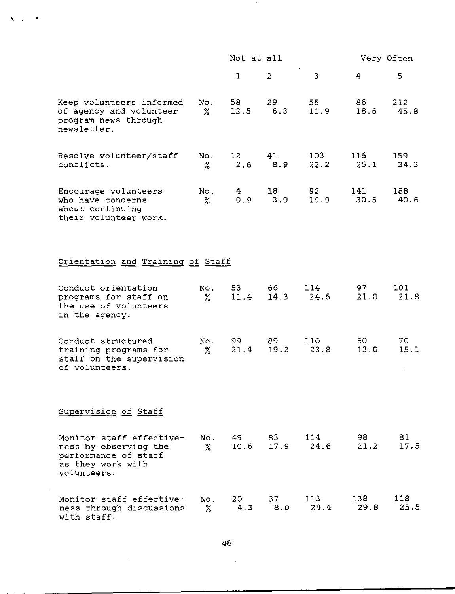|                                                                                                               |             | Not at all             |                |                    |             | Very Often     |
|---------------------------------------------------------------------------------------------------------------|-------------|------------------------|----------------|--------------------|-------------|----------------|
|                                                                                                               |             | $\mathbf{1}$           | $\overline{2}$ | 3                  | 4           | 5 <sub>1</sub> |
| Keep volunteers informed<br>of agency and volunteer<br>program news through<br>newsletter.                    | No.<br>$\%$ | 58<br>12.5             | 29<br>6.3      | 55<br>11.9         | 86<br>18.6  | 212<br>45.8    |
| Resolve volunteer/staff<br>conflicts.                                                                         | No.<br>$\%$ | 12 <sup>1</sup><br>2.6 | 41<br>8.9      | 103<br>22.2        | 116<br>25.1 | 159<br>34.3    |
| Encourage volunteers<br>who have concerns<br>about continuing<br>their volunteer work.                        | No.<br>$\%$ | 4<br>0.9               | 18<br>3.9      | 92<br>19.9         | 141<br>30.5 | 188<br>40.6    |
| Orientation and Training of Staff                                                                             |             |                        |                |                    |             |                |
| Conduct orientation<br>programs for staff on<br>the use of volunteers<br>in the agency.                       | No.<br>$\%$ | 53<br>11.4             | 66<br>14.3     | 114<br>24.6        | 97<br>21.0  | 101<br>21.8    |
| Conduct structured<br>training programs for<br>staff on the supervision<br>of volunteers.                     | No.<br>℅    | 99 -<br>21.4           | 89<br>19.2     | 110<br>23.8        | 60.<br>13.0 | 70<br>15.1     |
| Supervision of Staff                                                                                          |             |                        |                |                    |             |                |
| Monitor staff effective-<br>ness by observing the<br>performance of staff<br>as they work with<br>volunteers. | No.<br>$\%$ | 49 —<br>10.6           | 83             | 114<br>$17.9$ 24.6 | 98<br>21.2  | 81<br>17.5     |
| Monitor staff effective-<br>ness through discussions<br>with staff.                                           | No.<br>$\%$ | 20 —<br>4.3            | 37<br>8.0      | 113<br>24.4        | 138<br>29.8 | 118<br>25.5    |

 $\mathbf{v}=\mathbf{v}+\mathbf{v}$ 

48

 $\sim 10^7$ 

 $\sim 10^{-1}$ 

$$
f_{\rm{max}}
$$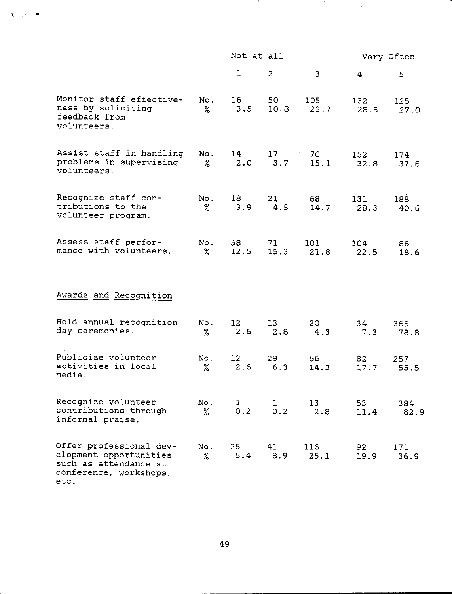|                                                                                                              |             | Not at all               |                     |              | Very Often  |             |  |
|--------------------------------------------------------------------------------------------------------------|-------------|--------------------------|---------------------|--------------|-------------|-------------|--|
|                                                                                                              |             | $\mathbf{1}$             | $\mathbf{2}$        | 3            | 4.          | 5           |  |
| Monitor staff effective-<br>ness by soliciting<br>feedback from<br>volunteers.                               | No.<br>$\%$ | 16<br>3.5                | 50<br>10.8          | 105<br>22.7  | 132<br>28.5 | 125<br>27.0 |  |
| Assist staff in handling<br>problems in supervising<br>volunteers.                                           | No.<br>℅    | 14<br>2.0                | 17<br>3.7           | 70 -<br>15.1 | 152<br>32.8 | 174<br>37.6 |  |
| Recognize staff con-<br>tributions to the<br>volunteer program.                                              | No.<br>$\%$ | 18<br>3.9                | 21<br>4.5           | 68 -<br>14.7 | 131<br>28.3 | 188<br>40.6 |  |
| Assess staff perfor-<br>mance with volunteers.                                                               | No.<br>℅    | 58<br>12.5               | 71<br>15.3          | 101<br>21.8  | 104<br>22.5 | 86<br>18.6  |  |
| Awards and Recognition                                                                                       |             |                          |                     |              |             |             |  |
| Hold annual recognition<br>day ceremonies.                                                                   | No.<br>$\%$ | 12 <sub>1</sub><br>2.6   | 13<br>2.8           | 20<br>4.3    | 34<br>7.3   | 365<br>78.8 |  |
| Publicize volunteer<br>activities in local<br>media.                                                         | No.<br>$\%$ | 12 <sub>1</sub><br>$2.6$ | 29<br>6.3           | 66<br>14.3   | 82<br>17.7  | 257<br>55.5 |  |
| Recognize volunteer<br>contributions through<br>informal praise.                                             | No.<br>$\%$ | 1<br>0.2                 | $\mathbf{1}$<br>0.2 | 13<br>2.8    | 53<br>11.4  | 384<br>82.9 |  |
| Offer professional dev-<br>elopment opportunities<br>such as attendance at<br>conference, workshops,<br>etc. | No.<br>$\%$ | 25<br>5.4                | 41<br>8.9           | 116<br>25.1  | 92<br>19.9  | 171<br>36.9 |  |

- 11

 $\sim$ 

 $\frac{1}{2}$  ,  $\frac{1}{2}$ 

•

 $\hat{\mathbf{x}} = \hat{\mathcal{Q}}^{\dagger}$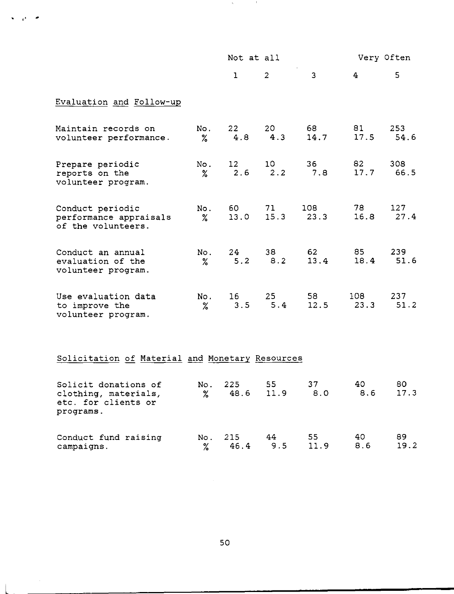|                                                                  |             | Not at all             |            |             | Very Often  |                |  |
|------------------------------------------------------------------|-------------|------------------------|------------|-------------|-------------|----------------|--|
|                                                                  |             | $\mathbf{1}$           | 2          | 3           | 4           | 5 <sup>1</sup> |  |
| Evaluation and Follow-up                                         |             |                        |            |             |             |                |  |
| Maintain records on<br>volunteer performance.                    | No.<br>$\%$ | 22<br>4.8              | 20<br>4.3  | 68<br>14.7  | 81<br>17.5  | 253<br>54.6    |  |
| Prepare periodic<br>reports on the<br>volunteer program.         | No.<br>$\%$ | 12 <sub>1</sub><br>2.6 | 10<br>2.2  | 36<br>7.8   | 82<br>17.7  | 308<br>66.5    |  |
| Conduct periodic<br>performance appraisals<br>of the volunteers. | No.<br>$\%$ | 60<br>13.0             | 71<br>15.3 | 108<br>23.3 | 78<br>16.8  | 127<br>27.4    |  |
| Conduct an annual<br>evaluation of the<br>volunteer program.     | No.<br>$\%$ | 24<br>5.2              | 38<br>8.2  | 62<br>13.4  | 85<br>18.4  | 239<br>51.6    |  |
| Use evaluation data<br>to improve the<br>volunteer program.      | No.<br>$\%$ | 16 <sup>1</sup><br>3.5 | 25<br>5.4  | 58<br>12.5  | 108<br>23.3 | 237<br>51.2    |  |
| Solicitation of Material and Monetary Resources                  |             |                        |            |             |             |                |  |
| Solicit donations of<br>clothing, materials,                     | No.<br>$\%$ | 225<br>48.6            | 55<br>11.9 | 37<br>8.0   | 40<br>8.6   | 80<br>17.3     |  |

**START** 

- 11

etc. for clients or programs.

 $\frac{1}{2} \left( \frac{1}{2} \right)$  ,  $\frac{1}{2} \left( \frac{1}{2} \right)$ 

 $\overline{1}$ 

 $\mathbf{v} = \mathbf{e}^{\mathbf{i} \times \mathbf{e}^{\mathbf{i} \times \mathbf{e}^{\mathbf{i} \times \mathbf{e}^{\mathbf{i} \times \mathbf{e}^{\mathbf{i} \times \mathbf{e}^{\mathbf{i} \times \mathbf{e}^{\mathbf{i} \times \mathbf{e}^{\mathbf{i} \times \mathbf{e}^{\mathbf{i} \times \mathbf{e}^{\mathbf{i} \times \mathbf{e}^{\mathbf{i} \times \mathbf{e}^{\mathbf{i} \times \mathbf{e}^{\mathbf{i} \times \mathbf{e}^{\mathbf{i} \times \mathbf{e}^{\mathbf{i} \times \mathbf$ 

| Conduct fund raising |  | No. 215 44 55 40         | - 89 |
|----------------------|--|--------------------------|------|
| campaigns.           |  | % 46.4 9.5 11.9 8.6 19.2 |      |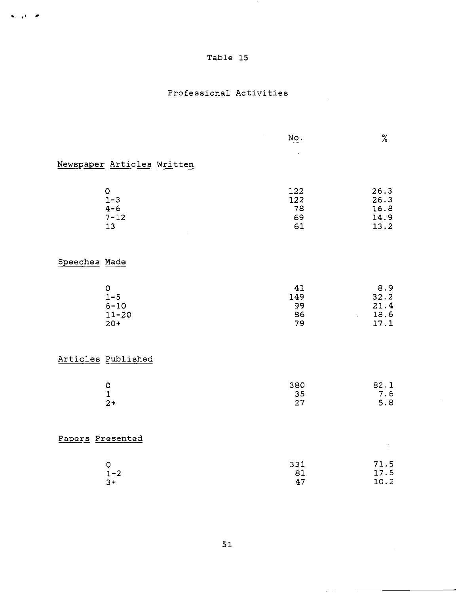$\mathbf{v}_n$   $\mathbf{p}_n$   $\mathbf{r}_n$ 

## Professional Activities

|                                                      | $\underline{\text{No}}$ .    | $\%$                                 |
|------------------------------------------------------|------------------------------|--------------------------------------|
| Newspaper Articles Written                           |                              |                                      |
| $\mathsf O$<br>$1 - 3$<br>$4 - 6$<br>$7 - 12$<br>13  | 122<br>122<br>78<br>69<br>61 | 26.3<br>26.3<br>16.8<br>14.9<br>13.2 |
| Speeches Made                                        |                              |                                      |
| $\circ$<br>$1 - 5$<br>$6 - 10$<br>$11 - 20$<br>$20+$ | 41<br>149<br>99<br>86<br>79  | 8.9<br>32.2<br>21.4<br>18.6<br>17.1  |
| Articles Published                                   |                              |                                      |
| $\mathsf O$<br>$\mathbf 1$<br>$2+$                   | 380<br>35<br>27              | 82.1<br>7.6<br>5.8                   |
| Papers Presented                                     |                              |                                      |
| O<br>$1 - 2$<br>$3+$                                 | 331<br>81<br>47              | 71.5<br>17.5<br>10.2                 |

 $\mathcal{L}$